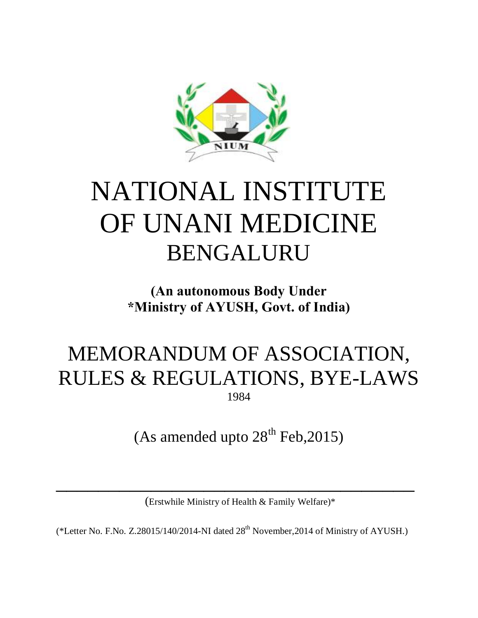

# NATIONAL INSTITUTE OF UNANI MEDICINE BENGALURU

## **(An autonomous Body Under \*Ministry of AYUSH, Govt. of India)**

## MEMORANDUM OF ASSOCIATION, RULES & REGULATIONS, BYE-LAWS 1984

(As amended upto  $28<sup>th</sup>$  Feb, 2015)

(Erstwhile Ministry of Health & Family Welfare)\*

 $\frac{1}{2}$  ,  $\frac{1}{2}$  ,  $\frac{1}{2}$  ,  $\frac{1}{2}$  ,  $\frac{1}{2}$  ,  $\frac{1}{2}$  ,  $\frac{1}{2}$  ,  $\frac{1}{2}$  ,  $\frac{1}{2}$  ,  $\frac{1}{2}$  ,  $\frac{1}{2}$  ,  $\frac{1}{2}$  ,  $\frac{1}{2}$  ,  $\frac{1}{2}$  ,  $\frac{1}{2}$  ,  $\frac{1}{2}$  ,  $\frac{1}{2}$  ,  $\frac{1}{2}$  ,  $\frac{1$ 

(\*Letter No. F.No. Z.28015/140/2014-NI dated  $28<sup>th</sup>$  November, 2014 of Ministry of AYUSH.)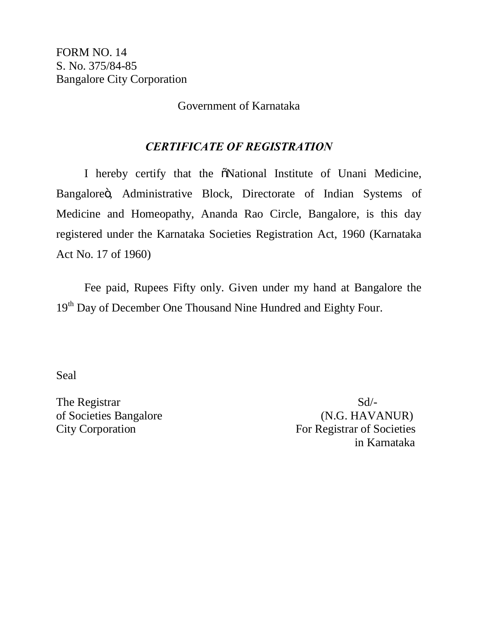Government of Karnataka

#### *CERTIFICATE OF REGISTRATION*

I hereby certify that the  $\tilde{\text{o}}$ National Institute of Unani Medicine, Bangaloreö, Administrative Block, Directorate of Indian Systems of Medicine and Homeopathy, Ananda Rao Circle, Bangalore, is this day registered under the Karnataka Societies Registration Act, 1960 (Karnataka Act No. 17 of 1960)

Fee paid, Rupees Fifty only. Given under my hand at Bangalore the 19<sup>th</sup> Day of December One Thousand Nine Hundred and Eighty Four.

Seal

The Registrar Sd.

of Societies Bangalore (N.G. HAVANUR) City Corporation For Registrar of Societies in Karnataka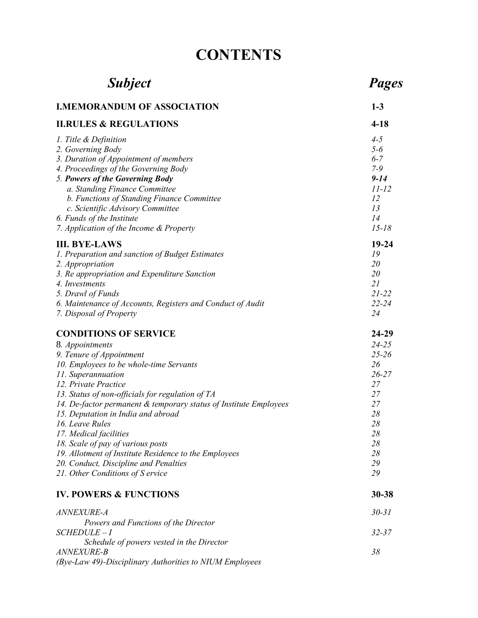## **CONTENTS**

| <b>Subject</b>                                                                                                                                                                                                                                                                                                                                                                                                                                                                                                              | Pages                                                                                                 |
|-----------------------------------------------------------------------------------------------------------------------------------------------------------------------------------------------------------------------------------------------------------------------------------------------------------------------------------------------------------------------------------------------------------------------------------------------------------------------------------------------------------------------------|-------------------------------------------------------------------------------------------------------|
| <b>I.MEMORANDUM OF ASSOCIATION</b>                                                                                                                                                                                                                                                                                                                                                                                                                                                                                          | $1-3$                                                                                                 |
| <b>II.RULES &amp; REGULATIONS</b>                                                                                                                                                                                                                                                                                                                                                                                                                                                                                           | $4 - 18$                                                                                              |
| 1. Title & Definition<br>2. Governing Body<br>3. Duration of Appointment of members<br>4. Proceedings of the Governing Body<br>5. Powers of the Governing Body<br>a. Standing Finance Committee<br>b. Functions of Standing Finance Committee<br>c. Scientific Advisory Committee<br>6. Funds of the Institute<br>7. Application of the Income & Property                                                                                                                                                                   | $4 - 5$<br>$5 - 6$<br>$6 - 7$<br>$7 - 9$<br>$9 - 14$<br>$11-12$<br>12<br>13<br>14<br>$15 - 18$        |
| <b>III. BYE-LAWS</b><br>1. Preparation and sanction of Budget Estimates<br>2. Appropriation<br>3. Re appropriation and Expenditure Sanction<br>4. Investments<br>5. Drawl of Funds<br>6. Maintenance of Accounts, Registers and Conduct of Audit<br>7. Disposal of Property                                                                                                                                                                                                                                                 | $19 - 24$<br>19<br>20<br>20<br>21<br>$21 - 22$<br>$22 - 24$<br>24                                     |
| <b>CONDITIONS OF SERVICE</b>                                                                                                                                                                                                                                                                                                                                                                                                                                                                                                | 24-29                                                                                                 |
| 8. Appointments<br>9. Tenure of Appointment<br>10. Employees to be whole-time Servants<br>11. Superannuation<br>12. Private Practice<br>13. Status of non-officials for regulation of TA<br>14. De-factor permanent & temporary status of Institute Employees<br>15. Deputation in India and abroad<br>16. Leave Rules<br>17. Medical facilities<br>18. Scale of pay of various posts<br>19. Allotment of Institute Residence to the Employees<br>20. Conduct, Discipline and Penalties<br>21. Other Conditions of S ervice | $24 - 25$<br>$25 - 26$<br>26<br>$26 - 27$<br>27<br>27<br>27<br>28<br>28<br>28<br>28<br>28<br>29<br>29 |
| <b>IV. POWERS &amp; FUNCTIONS</b>                                                                                                                                                                                                                                                                                                                                                                                                                                                                                           | 30-38                                                                                                 |
| ANNEXURE-A<br>Powers and Functions of the Director                                                                                                                                                                                                                                                                                                                                                                                                                                                                          | $30 - 31$                                                                                             |
| $SCHEDULE-I$<br>Schedule of powers vested in the Director<br>ANNEXURE-B<br>(Bye-Law 49)-Disciplinary Authorities to NIUM Employees                                                                                                                                                                                                                                                                                                                                                                                          | $32 - 37$<br>38                                                                                       |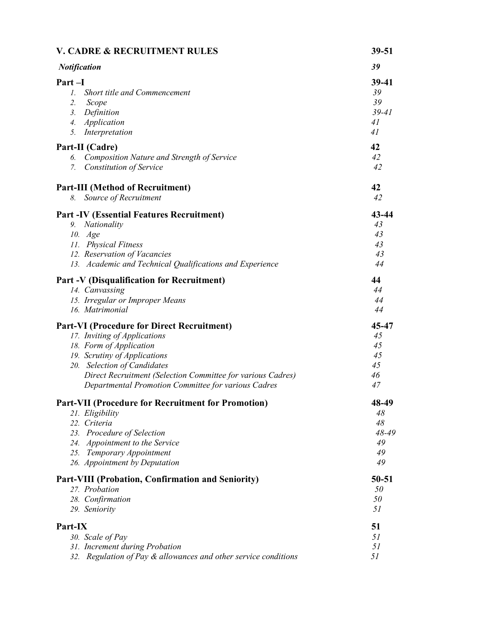| <b>V. CADRE &amp; RECRUITMENT RULES</b>                                                                                                                                                                                                                                                           | $39 - 51$                                    |
|---------------------------------------------------------------------------------------------------------------------------------------------------------------------------------------------------------------------------------------------------------------------------------------------------|----------------------------------------------|
| <b>Notification</b>                                                                                                                                                                                                                                                                               | 39                                           |
| Part-I<br>Short title and Commencement<br>$\mathcal{I}$ .<br>2.<br>Scope<br>Definition<br>3.<br>Application<br>$\overline{4}$ .<br>Interpretation<br>5.                                                                                                                                           | 39-41<br>39<br>39<br>$39 - 41$<br>41<br>41   |
| Part-II (Cadre)<br>Composition Nature and Strength of Service<br>6.<br><b>Constitution of Service</b><br>7.                                                                                                                                                                                       | 42<br>42<br>42                               |
| <b>Part-III (Method of Recruitment)</b><br>Source of Recruitment<br>8.                                                                                                                                                                                                                            | 42<br>42                                     |
| <b>Part -IV (Essential Features Recruitment)</b><br>9. Nationality<br>10. Age<br>11. Physical Fitness<br>12. Reservation of Vacancies<br>13. Academic and Technical Qualifications and Experience                                                                                                 | 43-44<br>43<br>43<br>43<br>43<br>44          |
| <b>Part -V (Disqualification for Recruitment)</b><br>14. Canvassing<br>15. Irregular or Improper Means<br>16. Matrimonial                                                                                                                                                                         | 44<br>44<br>44<br>44                         |
| <b>Part-VI (Procedure for Direct Recruitment)</b><br>17. Inviting of Applications<br>18. Form of Application<br>19. Scrutiny of Applications<br>20. Selection of Candidates<br>Direct Recruitment (Selection Committee for various Cadres)<br>Departmental Promotion Committee for various Cadres | 45-47<br>45<br>45<br>45<br>45<br>46<br>47    |
| <b>Part-VII (Procedure for Recruitment for Promotion)</b><br>21. Eligibility<br>22. Criteria<br>23. Procedure of Selection<br>24. Appointment to the Service<br>25. Temporary Appointment<br>26. Appointment by Deputation                                                                        | 48-49<br>48<br>48<br>48-49<br>49<br>49<br>49 |
| Part-VIII (Probation, Confirmation and Seniority)<br>27. Probation<br>28. Confirmation<br>29. Seniority                                                                                                                                                                                           | 50-51<br>50<br>50<br>51                      |
| Part-IX<br>30. Scale of Pay<br>31. Increment during Probation<br>Regulation of Pay & allowances and other service conditions<br>32.                                                                                                                                                               | 51<br>51<br>51<br>51                         |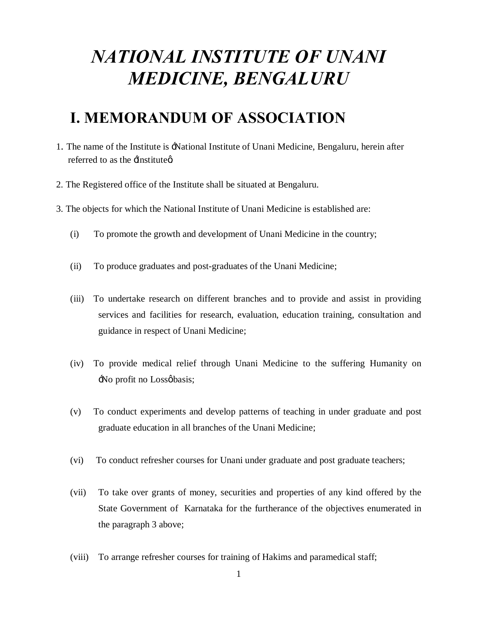## *NATIONAL INSTITUTE OF UNANI MEDICINE, BENGALURU*

## **I. MEMORANDUM OF ASSOCIATION**

- 1. The name of the Institute is 'National Institute of Unani Medicine, Bengaluru, herein after referred to as the  $\exists$ nstitute $\alpha$ .
- 2. The Registered office of the Institute shall be situated at Bengaluru.
- 3. The objects for which the National Institute of Unani Medicine is established are:
	- (i) To promote the growth and development of Unani Medicine in the country;
	- (ii) To produce graduates and post-graduates of the Unani Medicine;
	- (iii) To undertake research on different branches and to provide and assist in providing services and facilities for research, evaluation, education training, consultation and guidance in respect of Unani Medicine;
	- (iv) To provide medical relief through Unani Medicine to the suffering Humanity on No profit no Lossobasis;
	- (v) To conduct experiments and develop patterns of teaching in under graduate and post graduate education in all branches of the Unani Medicine;
	- (vi) To conduct refresher courses for Unani under graduate and post graduate teachers;
	- (vii) To take over grants of money, securities and properties of any kind offered by the State Government of Karnataka for the furtherance of the objectives enumerated in the paragraph 3 above;
	- (viii) To arrange refresher courses for training of Hakims and paramedical staff;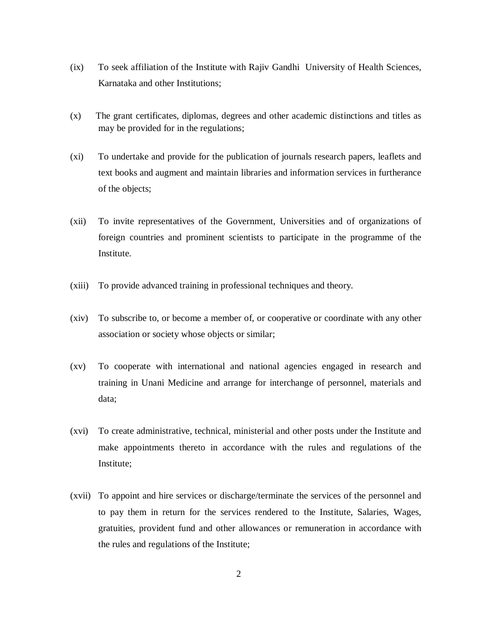- (ix) To seek affiliation of the Institute with Rajiv Gandhi University of Health Sciences, Karnataka and other Institutions;
- (x) The grant certificates, diplomas, degrees and other academic distinctions and titles as may be provided for in the regulations;
- (xi) To undertake and provide for the publication of journals research papers, leaflets and text books and augment and maintain libraries and information services in furtherance of the objects;
- (xii) To invite representatives of the Government, Universities and of organizations of foreign countries and prominent scientists to participate in the programme of the Institute.
- (xiii) To provide advanced training in professional techniques and theory.
- (xiv) To subscribe to, or become a member of, or cooperative or coordinate with any other association or society whose objects or similar;
- (xv) To cooperate with international and national agencies engaged in research and training in Unani Medicine and arrange for interchange of personnel, materials and data;
- (xvi) To create administrative, technical, ministerial and other posts under the Institute and make appointments thereto in accordance with the rules and regulations of the Institute;
- (xvii) To appoint and hire services or discharge/terminate the services of the personnel and to pay them in return for the services rendered to the Institute, Salaries, Wages, gratuities, provident fund and other allowances or remuneration in accordance with the rules and regulations of the Institute;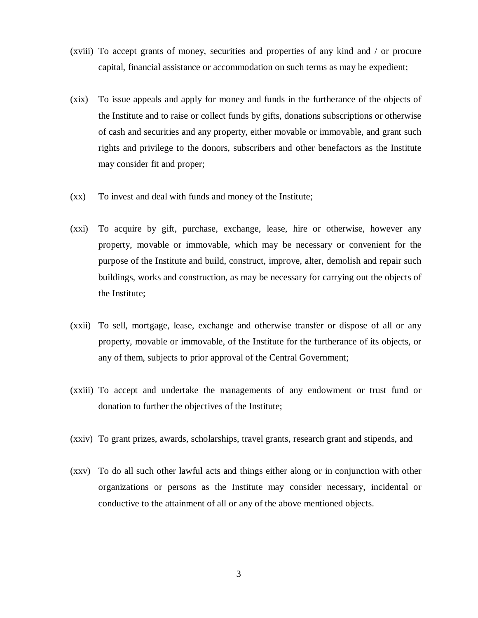- (xviii) To accept grants of money, securities and properties of any kind and / or procure capital, financial assistance or accommodation on such terms as may be expedient;
- (xix) To issue appeals and apply for money and funds in the furtherance of the objects of the Institute and to raise or collect funds by gifts, donations subscriptions or otherwise of cash and securities and any property, either movable or immovable, and grant such rights and privilege to the donors, subscribers and other benefactors as the Institute may consider fit and proper;
- (xx) To invest and deal with funds and money of the Institute;
- (xxi) To acquire by gift, purchase, exchange, lease, hire or otherwise, however any property, movable or immovable, which may be necessary or convenient for the purpose of the Institute and build, construct, improve, alter, demolish and repair such buildings, works and construction, as may be necessary for carrying out the objects of the Institute;
- (xxii) To sell, mortgage, lease, exchange and otherwise transfer or dispose of all or any property, movable or immovable, of the Institute for the furtherance of its objects, or any of them, subjects to prior approval of the Central Government;
- (xxiii) To accept and undertake the managements of any endowment or trust fund or donation to further the objectives of the Institute;
- (xxiv) To grant prizes, awards, scholarships, travel grants, research grant and stipends, and
- (xxv) To do all such other lawful acts and things either along or in conjunction with other organizations or persons as the Institute may consider necessary, incidental or conductive to the attainment of all or any of the above mentioned objects.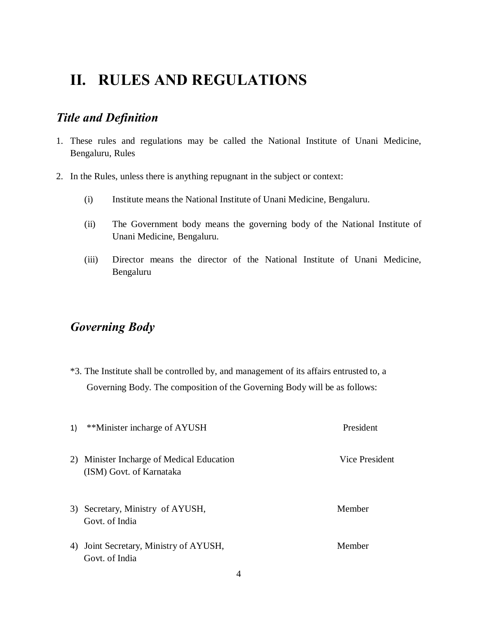## **II. RULES AND REGULATIONS**

#### *Title and Definition*

- 1. These rules and regulations may be called the National Institute of Unani Medicine, Bengaluru, Rules
- 2. In the Rules, unless there is anything repugnant in the subject or context:
	- (i) Institute means the National Institute of Unani Medicine, Bengaluru.
	- (ii) The Government body means the governing body of the National Institute of Unani Medicine, Bengaluru.
	- (iii) Director means the director of the National Institute of Unani Medicine, Bengaluru

#### *Governing Body*

\*3. The Institute shall be controlled by, and management of its affairs entrusted to, a Governing Body. The composition of the Governing Body will be as follows:

| 1) | **Minister incharge of AYUSH                                          | President      |
|----|-----------------------------------------------------------------------|----------------|
|    | 2) Minister Incharge of Medical Education<br>(ISM) Govt. of Karnataka | Vice President |
|    | 3) Secretary, Ministry of AYUSH,<br>Govt. of India                    | Member         |
|    | 4) Joint Secretary, Ministry of AYUSH,<br>Govt. of India              | Member         |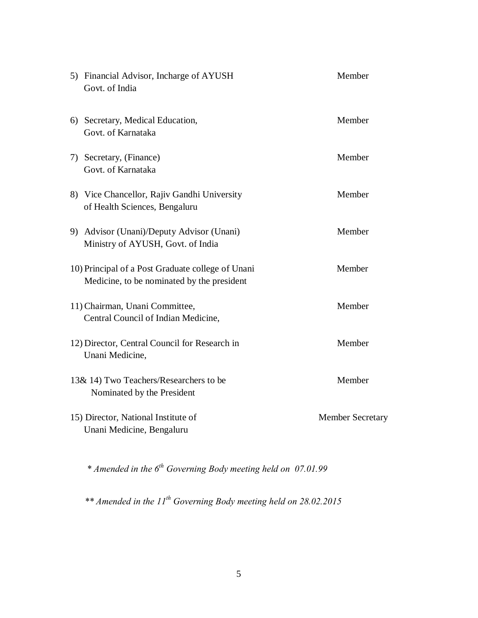| 5) Financial Advisor, Incharge of AYUSH<br>Govt. of India                                       | Member                  |
|-------------------------------------------------------------------------------------------------|-------------------------|
| 6) Secretary, Medical Education,<br>Govt. of Karnataka                                          | Member                  |
| 7) Secretary, (Finance)<br>Govt. of Karnataka                                                   | Member                  |
| 8) Vice Chancellor, Rajiv Gandhi University<br>of Health Sciences, Bengaluru                    | Member                  |
| 9) Advisor (Unani)/Deputy Advisor (Unani)<br>Ministry of AYUSH, Govt. of India                  | Member                  |
| 10) Principal of a Post Graduate college of Unani<br>Medicine, to be nominated by the president | Member                  |
| 11) Chairman, Unani Committee,<br>Central Council of Indian Medicine,                           | Member                  |
| 12) Director, Central Council for Research in<br>Unani Medicine,                                | Member                  |
| 13& 14) Two Teachers/Researchers to be<br>Nominated by the President                            | Member                  |
| 15) Director, National Institute of<br>Unani Medicine, Bengaluru                                | <b>Member Secretary</b> |
|                                                                                                 |                         |

*\* Amended in the 6th Governing Body meeting held on 07.01.99*

*\*\* Amended in the 11th Governing Body meeting held on 28.02.2015*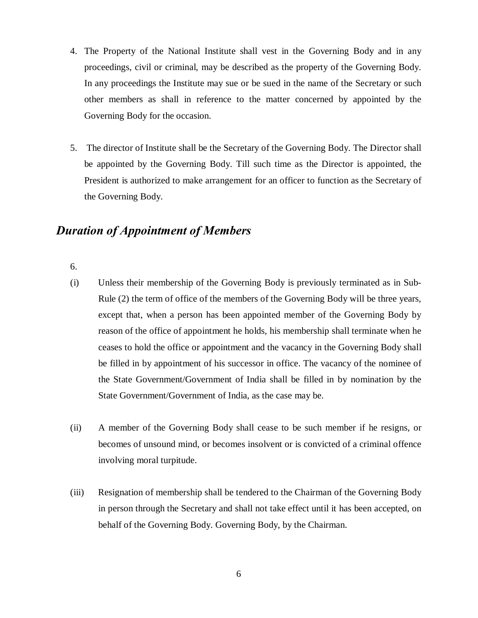- 4. The Property of the National Institute shall vest in the Governing Body and in any proceedings, civil or criminal, may be described as the property of the Governing Body. In any proceedings the Institute may sue or be sued in the name of the Secretary or such other members as shall in reference to the matter concerned by appointed by the Governing Body for the occasion.
- 5. The director of Institute shall be the Secretary of the Governing Body. The Director shall be appointed by the Governing Body. Till such time as the Director is appointed, the President is authorized to make arrangement for an officer to function as the Secretary of the Governing Body.

#### *Duration of Appointment of Members*

6.

- (i) Unless their membership of the Governing Body is previously terminated as in Sub-Rule (2) the term of office of the members of the Governing Body will be three years, except that, when a person has been appointed member of the Governing Body by reason of the office of appointment he holds, his membership shall terminate when he ceases to hold the office or appointment and the vacancy in the Governing Body shall be filled in by appointment of his successor in office. The vacancy of the nominee of the State Government/Government of India shall be filled in by nomination by the State Government/Government of India, as the case may be.
- (ii) A member of the Governing Body shall cease to be such member if he resigns, or becomes of unsound mind, or becomes insolvent or is convicted of a criminal offence involving moral turpitude.
- (iii) Resignation of membership shall be tendered to the Chairman of the Governing Body in person through the Secretary and shall not take effect until it has been accepted, on behalf of the Governing Body. Governing Body, by the Chairman.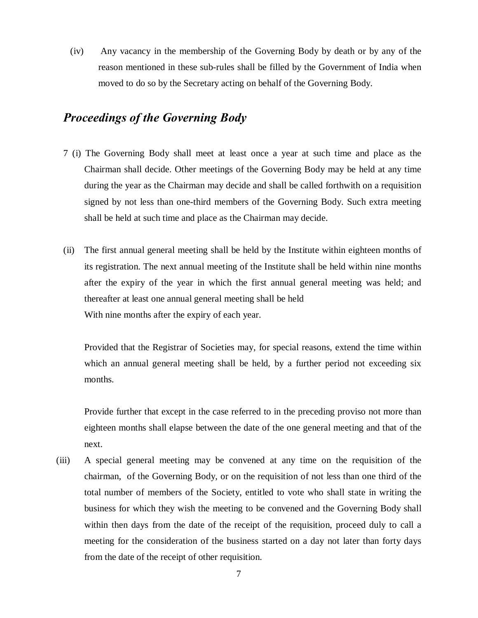(iv) Any vacancy in the membership of the Governing Body by death or by any of the reason mentioned in these sub-rules shall be filled by the Government of India when moved to do so by the Secretary acting on behalf of the Governing Body.

#### *Proceedings of the Governing Body*

- 7 (i) The Governing Body shall meet at least once a year at such time and place as the Chairman shall decide. Other meetings of the Governing Body may be held at any time during the year as the Chairman may decide and shall be called forthwith on a requisition signed by not less than one-third members of the Governing Body. Such extra meeting shall be held at such time and place as the Chairman may decide.
- (ii) The first annual general meeting shall be held by the Institute within eighteen months of its registration. The next annual meeting of the Institute shall be held within nine months after the expiry of the year in which the first annual general meeting was held; and thereafter at least one annual general meeting shall be held With nine months after the expiry of each year.

Provided that the Registrar of Societies may, for special reasons, extend the time within which an annual general meeting shall be held, by a further period not exceeding six months.

Provide further that except in the case referred to in the preceding proviso not more than eighteen months shall elapse between the date of the one general meeting and that of the next.

(iii) A special general meeting may be convened at any time on the requisition of the chairman, of the Governing Body, or on the requisition of not less than one third of the total number of members of the Society, entitled to vote who shall state in writing the business for which they wish the meeting to be convened and the Governing Body shall within then days from the date of the receipt of the requisition, proceed duly to call a meeting for the consideration of the business started on a day not later than forty days from the date of the receipt of other requisition.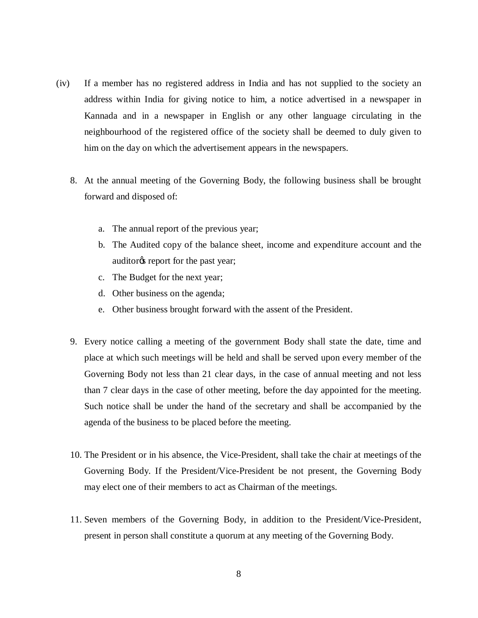- (iv) If a member has no registered address in India and has not supplied to the society an address within India for giving notice to him, a notice advertised in a newspaper in Kannada and in a newspaper in English or any other language circulating in the neighbourhood of the registered office of the society shall be deemed to duly given to him on the day on which the advertisement appears in the newspapers.
	- 8. At the annual meeting of the Governing Body, the following business shall be brought forward and disposed of:
		- a. The annual report of the previous year;
		- b. The Audited copy of the balance sheet, income and expenditure account and the auditor<sub> $\circ$ </sub> report for the past year;
		- c. The Budget for the next year;
		- d. Other business on the agenda;
		- e. Other business brought forward with the assent of the President.
	- 9. Every notice calling a meeting of the government Body shall state the date, time and place at which such meetings will be held and shall be served upon every member of the Governing Body not less than 21 clear days, in the case of annual meeting and not less than 7 clear days in the case of other meeting, before the day appointed for the meeting. Such notice shall be under the hand of the secretary and shall be accompanied by the agenda of the business to be placed before the meeting.
	- 10. The President or in his absence, the Vice-President, shall take the chair at meetings of the Governing Body. If the President/Vice-President be not present, the Governing Body may elect one of their members to act as Chairman of the meetings.
	- 11. Seven members of the Governing Body, in addition to the President/Vice-President, present in person shall constitute a quorum at any meeting of the Governing Body.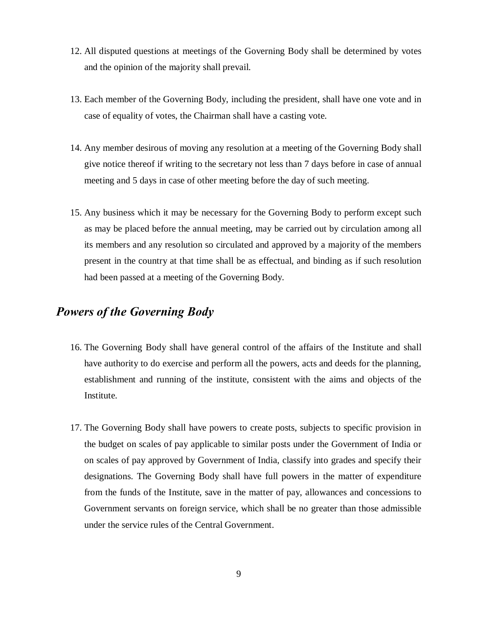- 12. All disputed questions at meetings of the Governing Body shall be determined by votes and the opinion of the majority shall prevail.
- 13. Each member of the Governing Body, including the president, shall have one vote and in case of equality of votes, the Chairman shall have a casting vote.
- 14. Any member desirous of moving any resolution at a meeting of the Governing Body shall give notice thereof if writing to the secretary not less than 7 days before in case of annual meeting and 5 days in case of other meeting before the day of such meeting.
- 15. Any business which it may be necessary for the Governing Body to perform except such as may be placed before the annual meeting, may be carried out by circulation among all its members and any resolution so circulated and approved by a majority of the members present in the country at that time shall be as effectual, and binding as if such resolution had been passed at a meeting of the Governing Body.

#### *Powers of the Governing Body*

- 16. The Governing Body shall have general control of the affairs of the Institute and shall have authority to do exercise and perform all the powers, acts and deeds for the planning, establishment and running of the institute, consistent with the aims and objects of the Institute.
- 17. The Governing Body shall have powers to create posts, subjects to specific provision in the budget on scales of pay applicable to similar posts under the Government of India or on scales of pay approved by Government of India, classify into grades and specify their designations. The Governing Body shall have full powers in the matter of expenditure from the funds of the Institute, save in the matter of pay, allowances and concessions to Government servants on foreign service, which shall be no greater than those admissible under the service rules of the Central Government.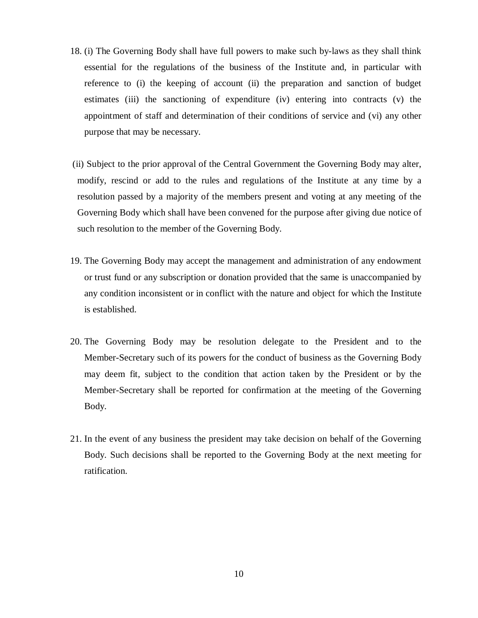- 18. (i) The Governing Body shall have full powers to make such by-laws as they shall think essential for the regulations of the business of the Institute and, in particular with reference to (i) the keeping of account (ii) the preparation and sanction of budget estimates (iii) the sanctioning of expenditure (iv) entering into contracts (v) the appointment of staff and determination of their conditions of service and (vi) any other purpose that may be necessary.
- (ii) Subject to the prior approval of the Central Government the Governing Body may alter, modify, rescind or add to the rules and regulations of the Institute at any time by a resolution passed by a majority of the members present and voting at any meeting of the Governing Body which shall have been convened for the purpose after giving due notice of such resolution to the member of the Governing Body.
- 19. The Governing Body may accept the management and administration of any endowment or trust fund or any subscription or donation provided that the same is unaccompanied by any condition inconsistent or in conflict with the nature and object for which the Institute is established.
- 20. The Governing Body may be resolution delegate to the President and to the Member-Secretary such of its powers for the conduct of business as the Governing Body may deem fit, subject to the condition that action taken by the President or by the Member-Secretary shall be reported for confirmation at the meeting of the Governing Body.
- 21. In the event of any business the president may take decision on behalf of the Governing Body. Such decisions shall be reported to the Governing Body at the next meeting for ratification.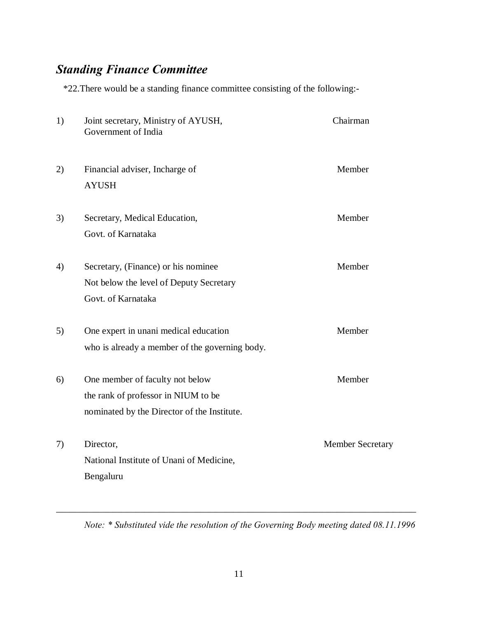## *Standing Finance Committee*

\*22.There would be a standing finance committee consisting of the following:-

| 1) | Joint secretary, Ministry of AYUSH,<br>Government of India                                                            | Chairman                |
|----|-----------------------------------------------------------------------------------------------------------------------|-------------------------|
| 2) | Financial adviser, Incharge of<br><b>AYUSH</b>                                                                        | Member                  |
| 3) | Secretary, Medical Education,<br>Govt. of Karnataka                                                                   | Member                  |
| 4) | Secretary, (Finance) or his nominee<br>Not below the level of Deputy Secretary<br>Govt. of Karnataka                  | Member                  |
| 5) | One expert in unani medical education<br>who is already a member of the governing body.                               | Member                  |
| 6) | One member of faculty not below<br>the rank of professor in NIUM to be<br>nominated by the Director of the Institute. | Member                  |
| 7) | Director,<br>National Institute of Unani of Medicine,<br>Bengaluru                                                    | <b>Member Secretary</b> |

*Note: \* Substituted vide the resolution of the Governing Body meeting dated 08.11.1996*

\_\_\_\_\_\_\_\_\_\_\_\_\_\_\_\_\_\_\_\_\_\_\_\_\_\_\_\_\_\_\_\_\_\_\_\_\_\_\_\_\_\_\_\_\_\_\_\_\_\_\_\_\_\_\_\_\_\_\_\_\_\_\_\_\_\_\_\_\_\_\_\_\_\_\_\_\_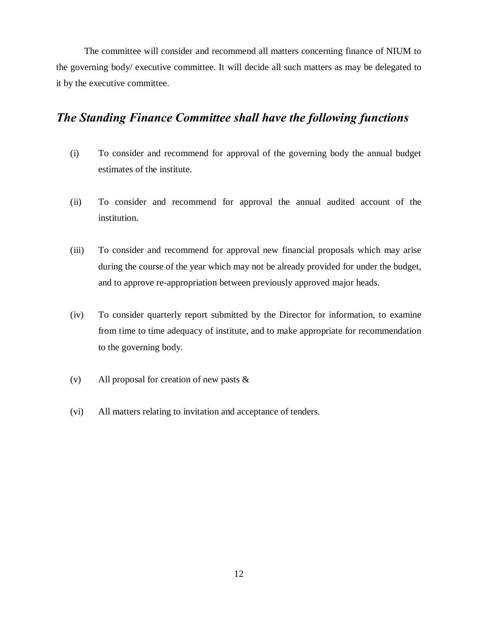The committee will consider and recommend all matters concerning finance of NIUM to the governing body/ executive committee. It will decide all such matters as may be delegated to it by the executive committee.

#### *The Standing Finance Committee shall have the following functions*

- (i) To consider and recommend for approval of the governing body the annual budget estimates of the institute.
- (ii) To consider and recommend for approval the annual audited account of the institution.
- (iii) To consider and recommend for approval new financial proposals which may arise during the course of the year which may not be already provided for under the budget, and to approve re-appropriation between previously approved major heads.
- (iv) To consider quarterly report submitted by the Director for information, to examine from time to time adequacy of institute, and to make appropriate for recommendation to the governing body.
- (v) All proposal for creation of new pasts &
- (vi) All matters relating to invitation and acceptance of tenders.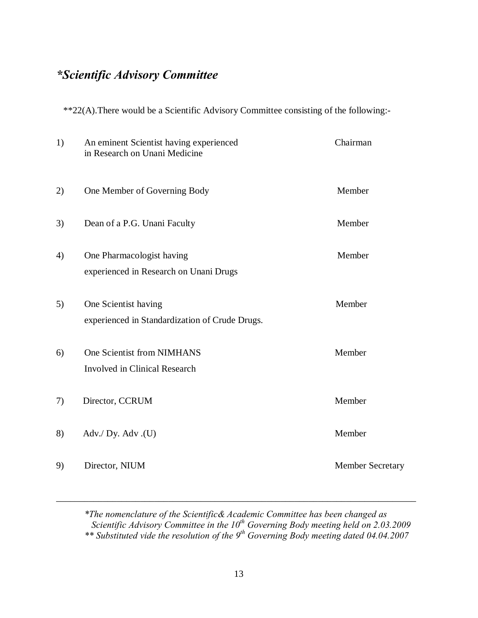## *\*Scientific Advisory Committee*

\*\*22(A).There would be a Scientific Advisory Committee consisting of the following:-

| 1) | An eminent Scientist having experienced<br>in Research on Unani Medicine | Chairman                |
|----|--------------------------------------------------------------------------|-------------------------|
| 2) | One Member of Governing Body                                             | Member                  |
| 3) | Dean of a P.G. Unani Faculty                                             | Member                  |
| 4) | One Pharmacologist having<br>experienced in Research on Unani Drugs      | Member                  |
| 5) | One Scientist having<br>experienced in Standardization of Crude Drugs.   | Member                  |
| 6) | One Scientist from NIMHANS<br><b>Involved in Clinical Research</b>       | Member                  |
| 7) | Director, CCRUM                                                          | Member                  |
| 8) | Adv./ Dy. Adv.(U)                                                        | Member                  |
| 9) | Director, NIUM                                                           | <b>Member Secretary</b> |

*\*The nomenclature of the Scientific& Academic Committee has been changed as Scientific Advisory Committee in the 10th Governing Body meeting held on 2.03.2009 \*\* Substituted vide the resolution of the 9th Governing Body meeting dated 04.04.2007*

\_\_\_\_\_\_\_\_\_\_\_\_\_\_\_\_\_\_\_\_\_\_\_\_\_\_\_\_\_\_\_\_\_\_\_\_\_\_\_\_\_\_\_\_\_\_\_\_\_\_\_\_\_\_\_\_\_\_\_\_\_\_\_\_\_\_\_\_\_\_\_\_\_\_\_\_\_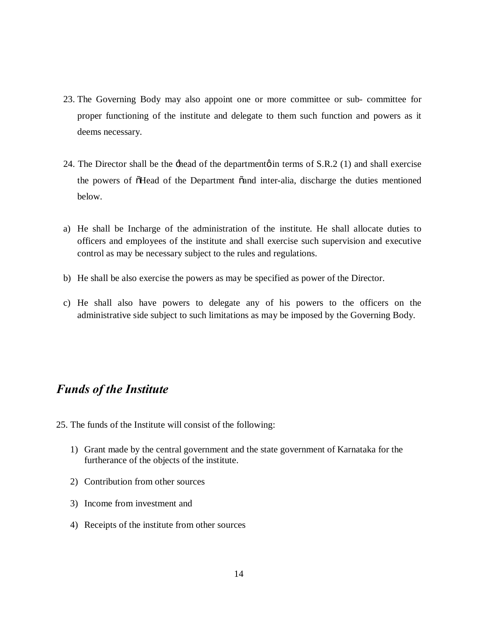- 23. The Governing Body may also appoint one or more committee or sub- committee for proper functioning of the institute and delegate to them such function and powers as it deems necessary.
- 24. The Director shall be the  $\pm$ head of the department in terms of S.R.2 (1) and shall exercise the powers of  $\tilde{\text{o}}$ Head of the Department  $\tilde{\text{o}}$  and inter-alia, discharge the duties mentioned below.
- a) He shall be Incharge of the administration of the institute. He shall allocate duties to officers and employees of the institute and shall exercise such supervision and executive control as may be necessary subject to the rules and regulations.
- b) He shall be also exercise the powers as may be specified as power of the Director.
- c) He shall also have powers to delegate any of his powers to the officers on the administrative side subject to such limitations as may be imposed by the Governing Body.

### *Funds of the Institute*

- 25. The funds of the Institute will consist of the following:
	- 1) Grant made by the central government and the state government of Karnataka for the furtherance of the objects of the institute.
	- 2) Contribution from other sources
	- 3) Income from investment and
	- 4) Receipts of the institute from other sources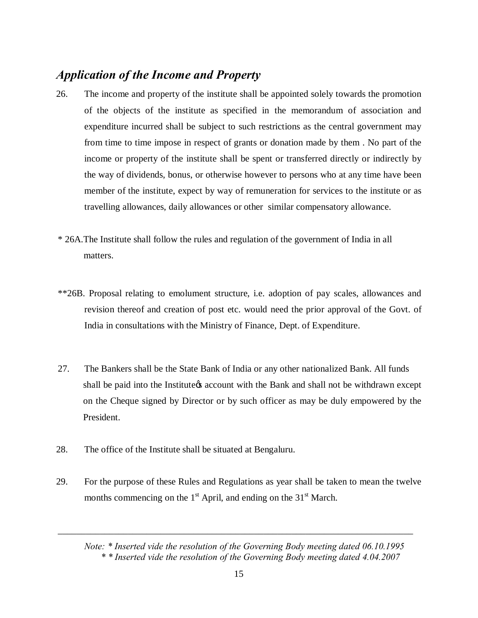#### *Application of the Income and Property*

- 26. The income and property of the institute shall be appointed solely towards the promotion of the objects of the institute as specified in the memorandum of association and expenditure incurred shall be subject to such restrictions as the central government may from time to time impose in respect of grants or donation made by them . No part of the income or property of the institute shall be spent or transferred directly or indirectly by the way of dividends, bonus, or otherwise however to persons who at any time have been member of the institute, expect by way of remuneration for services to the institute or as travelling allowances, daily allowances or other similar compensatory allowance.
- \* 26A.The Institute shall follow the rules and regulation of the government of India in all matters.
- \*\*26B. Proposal relating to emolument structure, i.e. adoption of pay scales, allowances and revision thereof and creation of post etc. would need the prior approval of the Govt. of India in consultations with the Ministry of Finance, Dept. of Expenditure.
- 27. The Bankers shall be the State Bank of India or any other nationalized Bank. All funds shall be paid into the Institute is account with the Bank and shall not be withdrawn except on the Cheque signed by Director or by such officer as may be duly empowered by the President.
- 28. The office of the Institute shall be situated at Bengaluru.
- 29. For the purpose of these Rules and Regulations as year shall be taken to mean the twelve months commencing on the  $1<sup>st</sup>$  April, and ending on the  $31<sup>st</sup>$  March.

*Note: \* Inserted vide the resolution of the Governing Body meeting dated 06.10.1995 \* \* Inserted vide the resolution of the Governing Body meeting dated 4.04.2007*

\_\_\_\_\_\_\_\_\_\_\_\_\_\_\_\_\_\_\_\_\_\_\_\_\_\_\_\_\_\_\_\_\_\_\_\_\_\_\_\_\_\_\_\_\_\_\_\_\_\_\_\_\_\_\_\_\_\_\_\_\_\_\_\_\_\_\_\_\_\_\_\_\_\_\_\_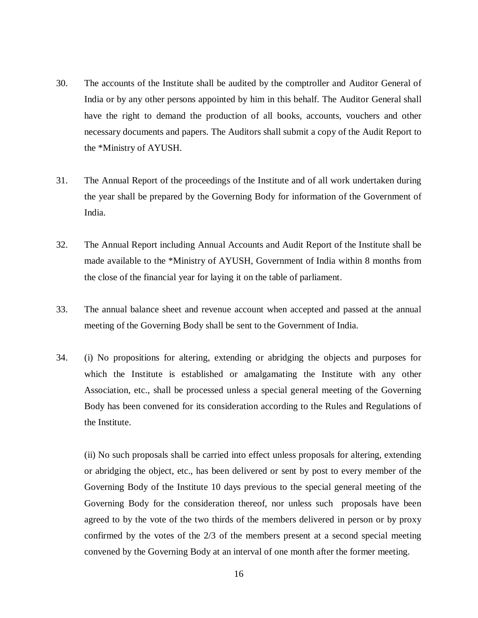- 30. The accounts of the Institute shall be audited by the comptroller and Auditor General of India or by any other persons appointed by him in this behalf. The Auditor General shall have the right to demand the production of all books, accounts, vouchers and other necessary documents and papers. The Auditors shall submit a copy of the Audit Report to the \*Ministry of AYUSH.
- 31. The Annual Report of the proceedings of the Institute and of all work undertaken during the year shall be prepared by the Governing Body for information of the Government of India.
- 32. The Annual Report including Annual Accounts and Audit Report of the Institute shall be made available to the \*Ministry of AYUSH, Government of India within 8 months from the close of the financial year for laying it on the table of parliament.
- 33. The annual balance sheet and revenue account when accepted and passed at the annual meeting of the Governing Body shall be sent to the Government of India.
- 34. (i) No propositions for altering, extending or abridging the objects and purposes for which the Institute is established or amalgamating the Institute with any other Association, etc., shall be processed unless a special general meeting of the Governing Body has been convened for its consideration according to the Rules and Regulations of the Institute.

(ii) No such proposals shall be carried into effect unless proposals for altering, extending or abridging the object, etc., has been delivered or sent by post to every member of the Governing Body of the Institute 10 days previous to the special general meeting of the Governing Body for the consideration thereof, nor unless such proposals have been agreed to by the vote of the two thirds of the members delivered in person or by proxy confirmed by the votes of the 2/3 of the members present at a second special meeting convened by the Governing Body at an interval of one month after the former meeting.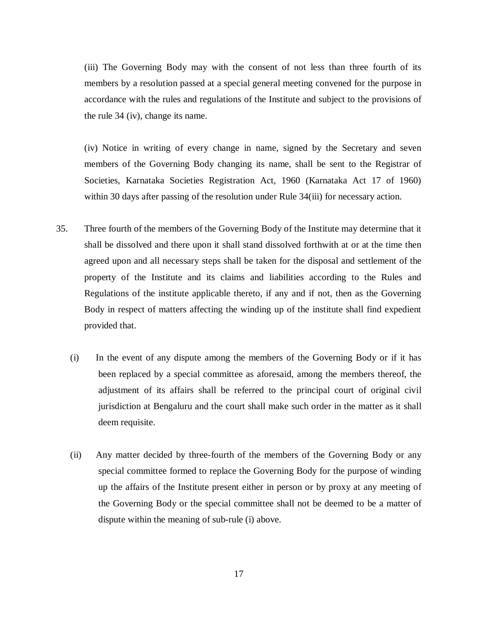(iii) The Governing Body may with the consent of not less than three fourth of its members by a resolution passed at a special general meeting convened for the purpose in accordance with the rules and regulations of the Institute and subject to the provisions of the rule 34 (iv), change its name.

(iv) Notice in writing of every change in name, signed by the Secretary and seven members of the Governing Body changing its name, shall be sent to the Registrar of Societies, Karnataka Societies Registration Act, 1960 (Karnataka Act 17 of 1960) within 30 days after passing of the resolution under Rule 34(iii) for necessary action.

- 35. Three fourth of the members of the Governing Body of the Institute may determine that it shall be dissolved and there upon it shall stand dissolved forthwith at or at the time then agreed upon and all necessary steps shall be taken for the disposal and settlement of the property of the Institute and its claims and liabilities according to the Rules and Regulations of the institute applicable thereto, if any and if not, then as the Governing Body in respect of matters affecting the winding up of the institute shall find expedient provided that.
	- (i) In the event of any dispute among the members of the Governing Body or if it has been replaced by a special committee as aforesaid, among the members thereof, the adjustment of its affairs shall be referred to the principal court of original civil jurisdiction at Bengaluru and the court shall make such order in the matter as it shall deem requisite.
	- (ii) Any matter decided by three-fourth of the members of the Governing Body or any special committee formed to replace the Governing Body for the purpose of winding up the affairs of the Institute present either in person or by proxy at any meeting of the Governing Body or the special committee shall not be deemed to be a matter of dispute within the meaning of sub-rule (i) above.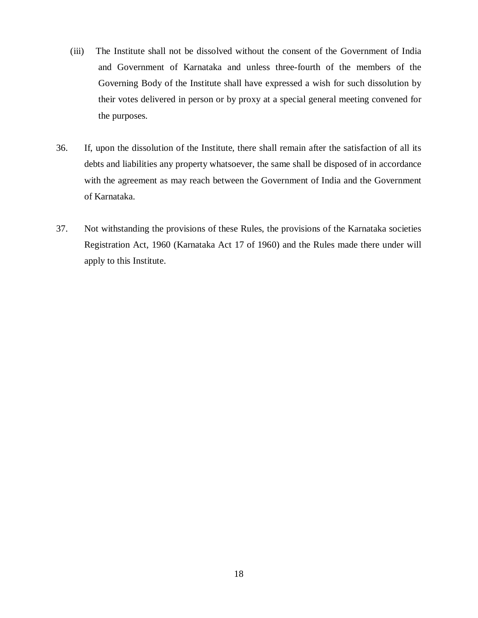- (iii) The Institute shall not be dissolved without the consent of the Government of India and Government of Karnataka and unless three-fourth of the members of the Governing Body of the Institute shall have expressed a wish for such dissolution by their votes delivered in person or by proxy at a special general meeting convened for the purposes.
- 36. If, upon the dissolution of the Institute, there shall remain after the satisfaction of all its debts and liabilities any property whatsoever, the same shall be disposed of in accordance with the agreement as may reach between the Government of India and the Government of Karnataka.
- 37. Not withstanding the provisions of these Rules, the provisions of the Karnataka societies Registration Act, 1960 (Karnataka Act 17 of 1960) and the Rules made there under will apply to this Institute.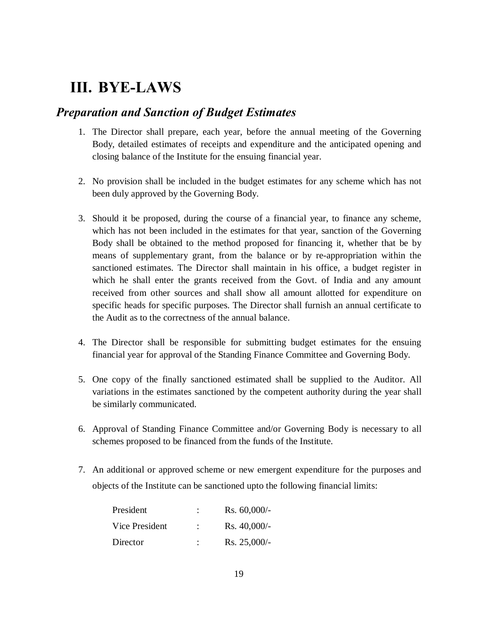## **III. BYE-LAWS**

#### *Preparation and Sanction of Budget Estimates*

- 1. The Director shall prepare, each year, before the annual meeting of the Governing Body, detailed estimates of receipts and expenditure and the anticipated opening and closing balance of the Institute for the ensuing financial year.
- 2. No provision shall be included in the budget estimates for any scheme which has not been duly approved by the Governing Body.
- 3. Should it be proposed, during the course of a financial year, to finance any scheme, which has not been included in the estimates for that year, sanction of the Governing Body shall be obtained to the method proposed for financing it, whether that be by means of supplementary grant, from the balance or by re-appropriation within the sanctioned estimates. The Director shall maintain in his office, a budget register in which he shall enter the grants received from the Govt. of India and any amount received from other sources and shall show all amount allotted for expenditure on specific heads for specific purposes. The Director shall furnish an annual certificate to the Audit as to the correctness of the annual balance.
- 4. The Director shall be responsible for submitting budget estimates for the ensuing financial year for approval of the Standing Finance Committee and Governing Body.
- 5. One copy of the finally sanctioned estimated shall be supplied to the Auditor. All variations in the estimates sanctioned by the competent authority during the year shall be similarly communicated.
- 6. Approval of Standing Finance Committee and/or Governing Body is necessary to all schemes proposed to be financed from the funds of the Institute.
- 7. An additional or approved scheme or new emergent expenditure for the purposes and objects of the Institute can be sanctioned upto the following financial limits:

| President      | ٠ | $Rs. 60,000/$ - |
|----------------|---|-----------------|
| Vice President | ٠ | $Rs. 40,000/$ - |
| Director       | ٠ | $Rs. 25,000/$ - |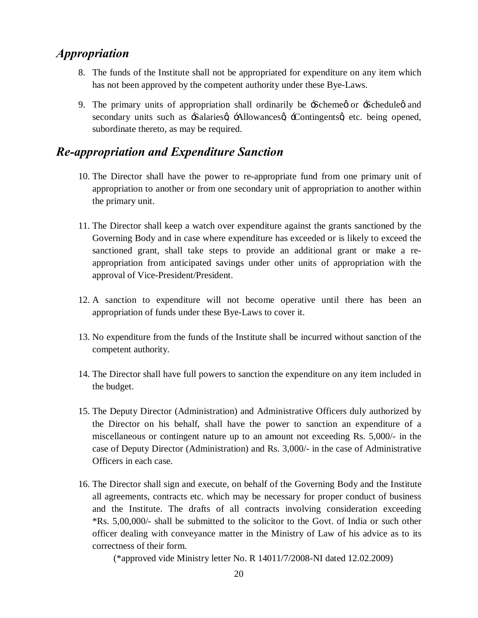#### *Appropriation*

- 8. The funds of the Institute shall not be appropriated for expenditure on any item which has not been approved by the competent authority under these Bye-Laws.
- 9. The primary units of appropriation shall ordinarily be  $\div$ Scheme or  $\div$ Schedule  $\phi$  and secondary units such as -Salaries  $\alpha$  -Allowances  $\alpha$  -Contingents a etc. being opened, subordinate thereto, as may be required.

#### *Re-appropriation and Expenditure Sanction*

- 10. The Director shall have the power to re-appropriate fund from one primary unit of appropriation to another or from one secondary unit of appropriation to another within the primary unit.
- 11. The Director shall keep a watch over expenditure against the grants sanctioned by the Governing Body and in case where expenditure has exceeded or is likely to exceed the sanctioned grant, shall take steps to provide an additional grant or make a reappropriation from anticipated savings under other units of appropriation with the approval of Vice-President/President.
- 12. A sanction to expenditure will not become operative until there has been an appropriation of funds under these Bye-Laws to cover it.
- 13. No expenditure from the funds of the Institute shall be incurred without sanction of the competent authority.
- 14. The Director shall have full powers to sanction the expenditure on any item included in the budget.
- 15. The Deputy Director (Administration) and Administrative Officers duly authorized by the Director on his behalf, shall have the power to sanction an expenditure of a miscellaneous or contingent nature up to an amount not exceeding Rs. 5,000/- in the case of Deputy Director (Administration) and Rs. 3,000/- in the case of Administrative Officers in each case.
- 16. The Director shall sign and execute, on behalf of the Governing Body and the Institute all agreements, contracts etc. which may be necessary for proper conduct of business and the Institute. The drafts of all contracts involving consideration exceeding \*Rs. 5,00,000/- shall be submitted to the solicitor to the Govt. of India or such other officer dealing with conveyance matter in the Ministry of Law of his advice as to its correctness of their form.

(\*approved vide Ministry letter No. R 14011/7/2008-NI dated 12.02.2009)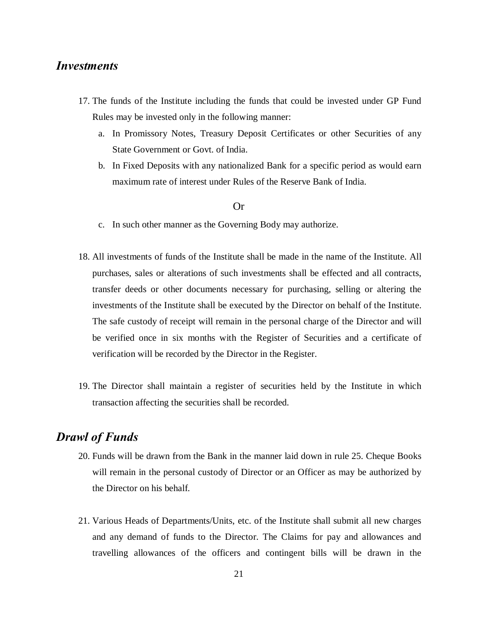#### *Investments*

- 17. The funds of the Institute including the funds that could be invested under GP Fund Rules may be invested only in the following manner:
	- a. In Promissory Notes, Treasury Deposit Certificates or other Securities of any State Government or Govt. of India.
	- b. In Fixed Deposits with any nationalized Bank for a specific period as would earn maximum rate of interest under Rules of the Reserve Bank of India.

#### Or

- c. In such other manner as the Governing Body may authorize.
- 18. All investments of funds of the Institute shall be made in the name of the Institute. All purchases, sales or alterations of such investments shall be effected and all contracts, transfer deeds or other documents necessary for purchasing, selling or altering the investments of the Institute shall be executed by the Director on behalf of the Institute. The safe custody of receipt will remain in the personal charge of the Director and will be verified once in six months with the Register of Securities and a certificate of verification will be recorded by the Director in the Register.
- 19. The Director shall maintain a register of securities held by the Institute in which transaction affecting the securities shall be recorded.

#### *Drawl of Funds*

- 20. Funds will be drawn from the Bank in the manner laid down in rule 25. Cheque Books will remain in the personal custody of Director or an Officer as may be authorized by the Director on his behalf.
- 21. Various Heads of Departments/Units, etc. of the Institute shall submit all new charges and any demand of funds to the Director. The Claims for pay and allowances and travelling allowances of the officers and contingent bills will be drawn in the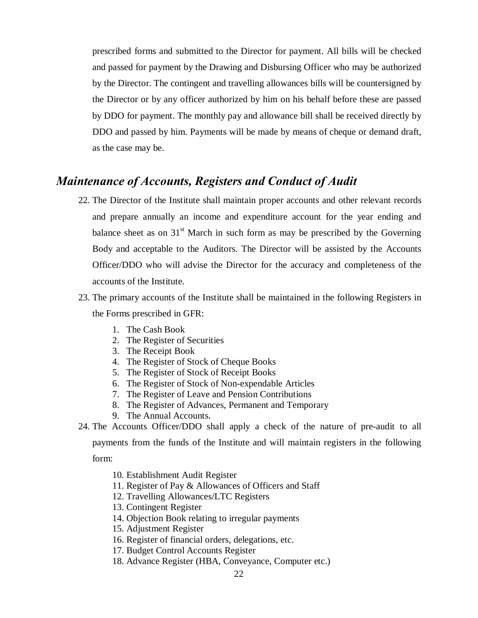prescribed forms and submitted to the Director for payment. All bills will be checked and passed for payment by the Drawing and Disbursing Officer who may be authorized by the Director. The contingent and travelling allowances bills will be countersigned by the Director or by any officer authorized by him on his behalf before these are passed by DDO for payment. The monthly pay and allowance bill shall be received directly by DDO and passed by him. Payments will be made by means of cheque or demand draft, as the case may be.

#### *Maintenance of Accounts, Registers and Conduct of Audit*

- 22. The Director of the Institute shall maintain proper accounts and other relevant records and prepare annually an income and expenditure account for the year ending and balance sheet as on  $31<sup>st</sup>$  March in such form as may be prescribed by the Governing Body and acceptable to the Auditors. The Director will be assisted by the Accounts Officer/DDO who will advise the Director for the accuracy and completeness of the accounts of the Institute.
- 23. The primary accounts of the Institute shall be maintained in the following Registers in the Forms prescribed in GFR:
	- 1. The Cash Book
	- 2. The Register of Securities
	- 3. The Receipt Book
	- 4. The Register of Stock of Cheque Books
	- 5. The Register of Stock of Receipt Books
	- 6. The Register of Stock of Non-expendable Articles
	- 7. The Register of Leave and Pension Contributions
	- 8. The Register of Advances, Permanent and Temporary
	- 9. The Annual Accounts.

24. The Accounts Officer/DDO shall apply a check of the nature of pre-audit to all payments from the funds of the Institute and will maintain registers in the following form:

10. Establishment Audit Register

- 11. Register of Pay & Allowances of Officers and Staff
- 12. Travelling Allowances/LTC Registers
- 13. Contingent Register
- 14. Objection Book relating to irregular payments
- 15. Adjustment Register
- 16. Register of financial orders, delegations, etc.
- 17. Budget Control Accounts Register
- 18. Advance Register (HBA, Conveyance, Computer etc.)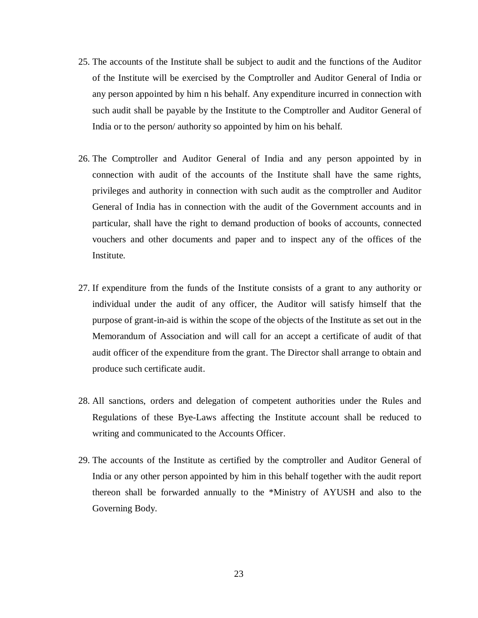- 25. The accounts of the Institute shall be subject to audit and the functions of the Auditor of the Institute will be exercised by the Comptroller and Auditor General of India or any person appointed by him n his behalf. Any expenditure incurred in connection with such audit shall be payable by the Institute to the Comptroller and Auditor General of India or to the person/ authority so appointed by him on his behalf.
- 26. The Comptroller and Auditor General of India and any person appointed by in connection with audit of the accounts of the Institute shall have the same rights, privileges and authority in connection with such audit as the comptroller and Auditor General of India has in connection with the audit of the Government accounts and in particular, shall have the right to demand production of books of accounts, connected vouchers and other documents and paper and to inspect any of the offices of the Institute.
- 27. If expenditure from the funds of the Institute consists of a grant to any authority or individual under the audit of any officer, the Auditor will satisfy himself that the purpose of grant-in-aid is within the scope of the objects of the Institute as set out in the Memorandum of Association and will call for an accept a certificate of audit of that audit officer of the expenditure from the grant. The Director shall arrange to obtain and produce such certificate audit.
- 28. All sanctions, orders and delegation of competent authorities under the Rules and Regulations of these Bye-Laws affecting the Institute account shall be reduced to writing and communicated to the Accounts Officer.
- 29. The accounts of the Institute as certified by the comptroller and Auditor General of India or any other person appointed by him in this behalf together with the audit report thereon shall be forwarded annually to the \*Ministry of AYUSH and also to the Governing Body.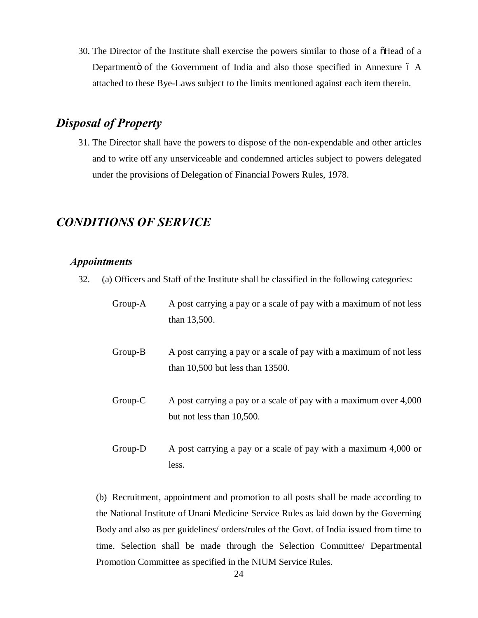30. The Director of the Institute shall exercise the powers similar to those of a  $\tilde{\text{o}}$ Head of a Departmentö of the Government of India and also those specified in Annexure 6 A attached to these Bye-Laws subject to the limits mentioned against each item therein.

#### *Disposal of Property*

31. The Director shall have the powers to dispose of the non-expendable and other articles and to write off any unserviceable and condemned articles subject to powers delegated under the provisions of Delegation of Financial Powers Rules, 1978.

#### *CONDITIONS OF SERVICE*

#### *Appointments*

32. (a) Officers and Staff of the Institute shall be classified in the following categories:

| $Group-A$ | A post carrying a pay or a scale of pay with a maximum of not less<br>than 13,500.                       |
|-----------|----------------------------------------------------------------------------------------------------------|
| $Group-B$ | A post carrying a pay or a scale of pay with a maximum of not less<br>than $10,500$ but less than 13500. |
| $Group-C$ | A post carrying a pay or a scale of pay with a maximum over 4,000<br>but not less than 10,500.           |
| $Group-D$ | A post carrying a pay or a scale of pay with a maximum 4,000 or                                          |

(b) Recruitment, appointment and promotion to all posts shall be made according to the National Institute of Unani Medicine Service Rules as laid down by the Governing Body and also as per guidelines/ orders/rules of the Govt. of India issued from time to time. Selection shall be made through the Selection Committee/ Departmental Promotion Committee as specified in the NIUM Service Rules.

less.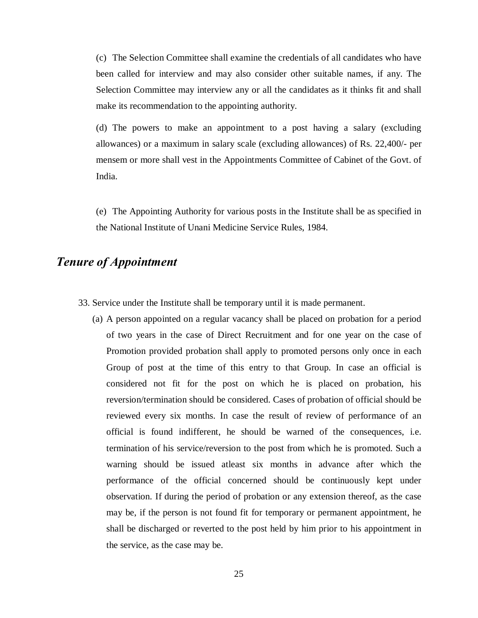(c) The Selection Committee shall examine the credentials of all candidates who have been called for interview and may also consider other suitable names, if any. The Selection Committee may interview any or all the candidates as it thinks fit and shall make its recommendation to the appointing authority.

(d) The powers to make an appointment to a post having a salary (excluding allowances) or a maximum in salary scale (excluding allowances) of Rs. 22,400/- per mensem or more shall vest in the Appointments Committee of Cabinet of the Govt. of India.

(e) The Appointing Authority for various posts in the Institute shall be as specified in the National Institute of Unani Medicine Service Rules, 1984.

#### *Tenure of Appointment*

- 33. Service under the Institute shall be temporary until it is made permanent.
	- (a) A person appointed on a regular vacancy shall be placed on probation for a period of two years in the case of Direct Recruitment and for one year on the case of Promotion provided probation shall apply to promoted persons only once in each Group of post at the time of this entry to that Group. In case an official is considered not fit for the post on which he is placed on probation, his reversion/termination should be considered. Cases of probation of official should be reviewed every six months. In case the result of review of performance of an official is found indifferent, he should be warned of the consequences, i.e. termination of his service/reversion to the post from which he is promoted. Such a warning should be issued atleast six months in advance after which the performance of the official concerned should be continuously kept under observation. If during the period of probation or any extension thereof, as the case may be, if the person is not found fit for temporary or permanent appointment, he shall be discharged or reverted to the post held by him prior to his appointment in the service, as the case may be.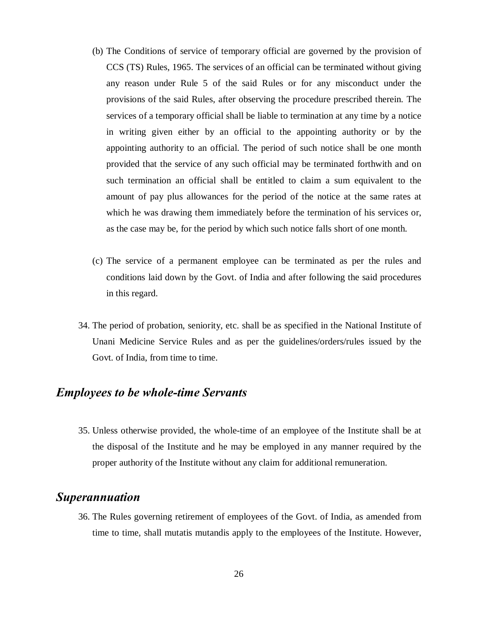- (b) The Conditions of service of temporary official are governed by the provision of CCS (TS) Rules, 1965. The services of an official can be terminated without giving any reason under Rule 5 of the said Rules or for any misconduct under the provisions of the said Rules, after observing the procedure prescribed therein. The services of a temporary official shall be liable to termination at any time by a notice in writing given either by an official to the appointing authority or by the appointing authority to an official. The period of such notice shall be one month provided that the service of any such official may be terminated forthwith and on such termination an official shall be entitled to claim a sum equivalent to the amount of pay plus allowances for the period of the notice at the same rates at which he was drawing them immediately before the termination of his services or, as the case may be, for the period by which such notice falls short of one month.
- (c) The service of a permanent employee can be terminated as per the rules and conditions laid down by the Govt. of India and after following the said procedures in this regard.
- 34. The period of probation, seniority, etc. shall be as specified in the National Institute of Unani Medicine Service Rules and as per the guidelines/orders/rules issued by the Govt. of India, from time to time.

#### *Employees to be whole-time Servants*

35. Unless otherwise provided, the whole-time of an employee of the Institute shall be at the disposal of the Institute and he may be employed in any manner required by the proper authority of the Institute without any claim for additional remuneration.

#### *Superannuation*

36. The Rules governing retirement of employees of the Govt. of India, as amended from time to time, shall mutatis mutandis apply to the employees of the Institute. However,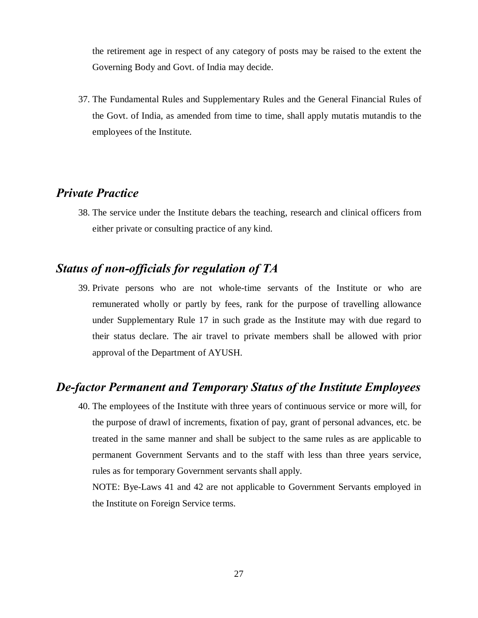the retirement age in respect of any category of posts may be raised to the extent the Governing Body and Govt. of India may decide.

37. The Fundamental Rules and Supplementary Rules and the General Financial Rules of the Govt. of India, as amended from time to time, shall apply mutatis mutandis to the employees of the Institute.

#### *Private Practice*

38. The service under the Institute debars the teaching, research and clinical officers from either private or consulting practice of any kind.

#### *Status of non-officials for regulation of TA*

39. Private persons who are not whole-time servants of the Institute or who are remunerated wholly or partly by fees, rank for the purpose of travelling allowance under Supplementary Rule 17 in such grade as the Institute may with due regard to their status declare. The air travel to private members shall be allowed with prior approval of the Department of AYUSH.

#### *De-factor Permanent and Temporary Status of the Institute Employees*

40. The employees of the Institute with three years of continuous service or more will, for the purpose of drawl of increments, fixation of pay, grant of personal advances, etc. be treated in the same manner and shall be subject to the same rules as are applicable to permanent Government Servants and to the staff with less than three years service, rules as for temporary Government servants shall apply.

NOTE: Bye-Laws 41 and 42 are not applicable to Government Servants employed in the Institute on Foreign Service terms.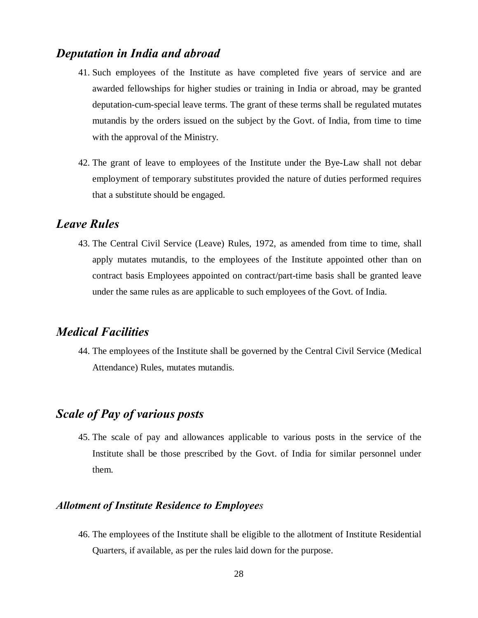#### *Deputation in India and abroad*

- 41. Such employees of the Institute as have completed five years of service and are awarded fellowships for higher studies or training in India or abroad, may be granted deputation-cum-special leave terms. The grant of these terms shall be regulated mutates mutandis by the orders issued on the subject by the Govt. of India, from time to time with the approval of the Ministry.
- 42. The grant of leave to employees of the Institute under the Bye-Law shall not debar employment of temporary substitutes provided the nature of duties performed requires that a substitute should be engaged.

#### *Leave Rules*

43. The Central Civil Service (Leave) Rules, 1972, as amended from time to time, shall apply mutates mutandis, to the employees of the Institute appointed other than on contract basis Employees appointed on contract/part-time basis shall be granted leave under the same rules as are applicable to such employees of the Govt. of India.

#### *Medical Facilities*

44. The employees of the Institute shall be governed by the Central Civil Service (Medical Attendance) Rules, mutates mutandis.

#### *Scale of Pay of various posts*

45. The scale of pay and allowances applicable to various posts in the service of the Institute shall be those prescribed by the Govt. of India for similar personnel under them.

#### *Allotment of Institute Residence to Employees*

46. The employees of the Institute shall be eligible to the allotment of Institute Residential Quarters, if available, as per the rules laid down for the purpose.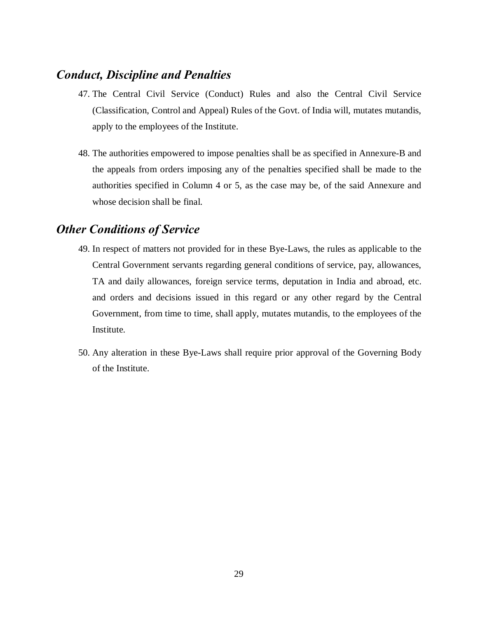#### *Conduct, Discipline and Penalties*

- 47. The Central Civil Service (Conduct) Rules and also the Central Civil Service (Classification, Control and Appeal) Rules of the Govt. of India will, mutates mutandis, apply to the employees of the Institute.
- 48. The authorities empowered to impose penalties shall be as specified in Annexure-B and the appeals from orders imposing any of the penalties specified shall be made to the authorities specified in Column 4 or 5, as the case may be, of the said Annexure and whose decision shall be final.

#### *Other Conditions of Service*

- 49. In respect of matters not provided for in these Bye-Laws, the rules as applicable to the Central Government servants regarding general conditions of service, pay, allowances, TA and daily allowances, foreign service terms, deputation in India and abroad, etc. and orders and decisions issued in this regard or any other regard by the Central Government, from time to time, shall apply, mutates mutandis, to the employees of the Institute.
- 50. Any alteration in these Bye-Laws shall require prior approval of the Governing Body of the Institute.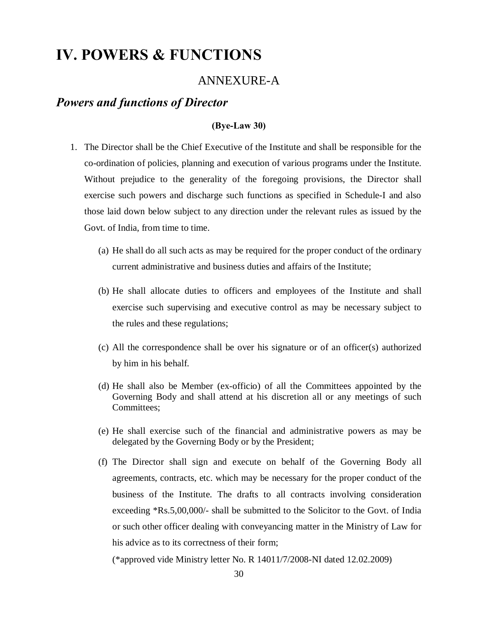## **IV. POWERS & FUNCTIONS**

#### ANNEXURE-A

#### *Powers and functions of Director*

#### **(Bye-Law 30)**

- 1. The Director shall be the Chief Executive of the Institute and shall be responsible for the co-ordination of policies, planning and execution of various programs under the Institute. Without prejudice to the generality of the foregoing provisions, the Director shall exercise such powers and discharge such functions as specified in Schedule-I and also those laid down below subject to any direction under the relevant rules as issued by the Govt. of India, from time to time.
	- (a) He shall do all such acts as may be required for the proper conduct of the ordinary current administrative and business duties and affairs of the Institute;
	- (b) He shall allocate duties to officers and employees of the Institute and shall exercise such supervising and executive control as may be necessary subject to the rules and these regulations;
	- (c) All the correspondence shall be over his signature or of an officer(s) authorized by him in his behalf.
	- (d) He shall also be Member (ex-officio) of all the Committees appointed by the Governing Body and shall attend at his discretion all or any meetings of such Committees;
	- (e) He shall exercise such of the financial and administrative powers as may be delegated by the Governing Body or by the President;
	- (f) The Director shall sign and execute on behalf of the Governing Body all agreements, contracts, etc. which may be necessary for the proper conduct of the business of the Institute. The drafts to all contracts involving consideration exceeding \*Rs.5,00,000/- shall be submitted to the Solicitor to the Govt. of India or such other officer dealing with conveyancing matter in the Ministry of Law for his advice as to its correctness of their form;

(\*approved vide Ministry letter No. R 14011/7/2008-NI dated 12.02.2009)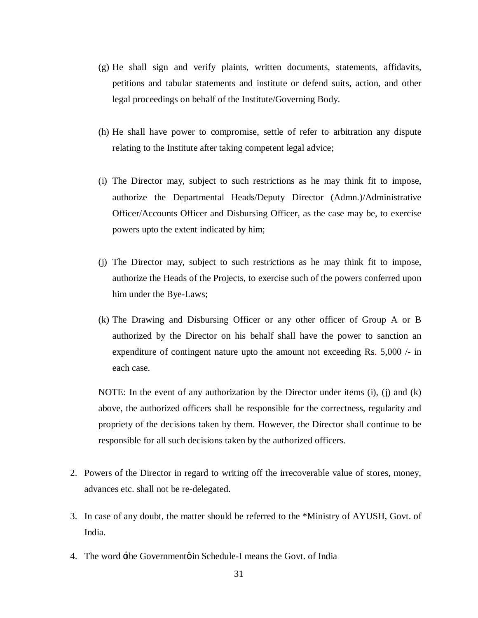- (g) He shall sign and verify plaints, written documents, statements, affidavits, petitions and tabular statements and institute or defend suits, action, and other legal proceedings on behalf of the Institute/Governing Body.
- (h) He shall have power to compromise, settle of refer to arbitration any dispute relating to the Institute after taking competent legal advice;
- (i) The Director may, subject to such restrictions as he may think fit to impose, authorize the Departmental Heads/Deputy Director (Admn.)/Administrative Officer/Accounts Officer and Disbursing Officer, as the case may be, to exercise powers upto the extent indicated by him;
- (j) The Director may, subject to such restrictions as he may think fit to impose, authorize the Heads of the Projects, to exercise such of the powers conferred upon him under the Bye-Laws;
- (k) The Drawing and Disbursing Officer or any other officer of Group A or B authorized by the Director on his behalf shall have the power to sanction an expenditure of contingent nature upto the amount not exceeding Rs. 5,000 /- in each case.

NOTE: In the event of any authorization by the Director under items  $(i)$ ,  $(i)$  and  $(k)$ above, the authorized officers shall be responsible for the correctness, regularity and propriety of the decisions taken by them. However, the Director shall continue to be responsible for all such decisions taken by the authorized officers.

- 2. Powers of the Director in regard to writing off the irrecoverable value of stores, money, advances etc. shall not be re-delegated.
- 3. In case of any doubt, the matter should be referred to the \*Ministry of AYUSH, Govt. of India.
- 4. The word  $\pm$ the Governmentøin Schedule-I means the Govt. of India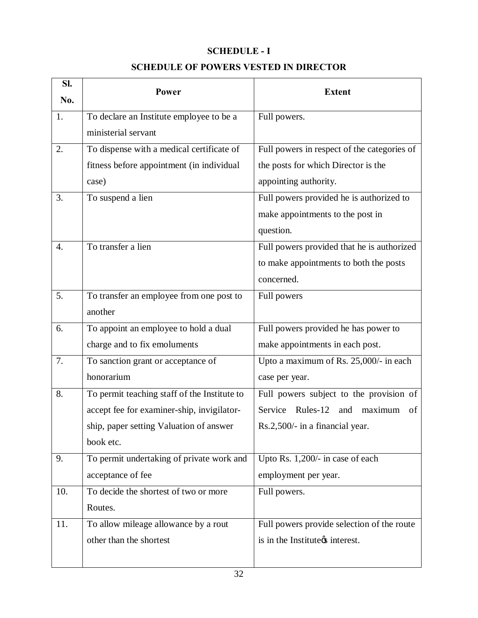#### **SCHEDULE - I**

#### **SCHEDULE OF POWERS VESTED IN DIRECTOR**

| SI. | <b>Power</b>                                 | <b>Extent</b>                               |  |
|-----|----------------------------------------------|---------------------------------------------|--|
| No. |                                              |                                             |  |
| 1.  | To declare an Institute employee to be a     | Full powers.                                |  |
|     | ministerial servant                          |                                             |  |
| 2.  | To dispense with a medical certificate of    | Full powers in respect of the categories of |  |
|     | fitness before appointment (in individual    | the posts for which Director is the         |  |
|     | case)                                        | appointing authority.                       |  |
| 3.  | To suspend a lien                            | Full powers provided he is authorized to    |  |
|     |                                              | make appointments to the post in            |  |
|     |                                              | question.                                   |  |
| 4.  | To transfer a lien                           | Full powers provided that he is authorized  |  |
|     |                                              | to make appointments to both the posts      |  |
|     |                                              | concerned.                                  |  |
| 5.  | To transfer an employee from one post to     | Full powers                                 |  |
|     | another                                      |                                             |  |
| 6.  | To appoint an employee to hold a dual        | Full powers provided he has power to        |  |
|     | charge and to fix emoluments                 | make appointments in each post.             |  |
| 7.  | To sanction grant or acceptance of           | Upto a maximum of Rs. 25,000/- in each      |  |
|     | honorarium                                   | case per year.                              |  |
| 8.  | To permit teaching staff of the Institute to | Full powers subject to the provision of     |  |
|     | accept fee for examiner-ship, invigilator-   | Service Rules-12<br>and maximum<br>of       |  |
|     | ship, paper setting Valuation of answer      | Rs.2,500/- in a financial year.             |  |
|     | book etc.                                    |                                             |  |
| 9.  | To permit undertaking of private work and    | Upto Rs. 1,200/- in case of each            |  |
|     | acceptance of fee                            | employment per year.                        |  |
| 10. | To decide the shortest of two or more        | Full powers.                                |  |
|     | Routes.                                      |                                             |  |
| 11. | To allow mileage allowance by a rout         | Full powers provide selection of the route  |  |
|     | other than the shortest                      | is in the Institute <sub>g</sub> interest.  |  |
|     |                                              |                                             |  |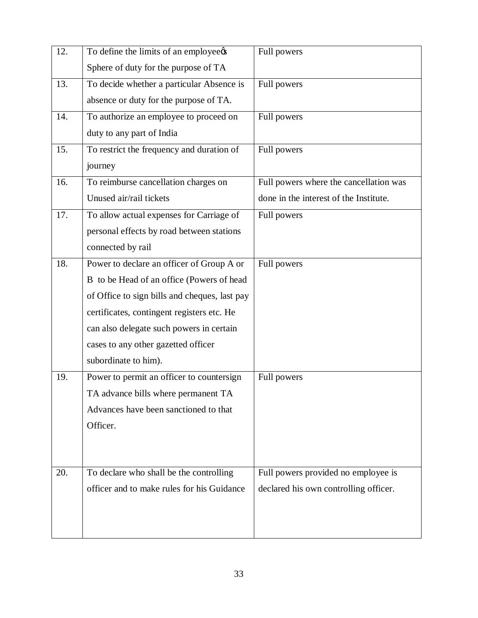| 12. | To define the limits of an employee¢s         | Full powers                            |
|-----|-----------------------------------------------|----------------------------------------|
|     | Sphere of duty for the purpose of TA          |                                        |
| 13. | To decide whether a particular Absence is     | Full powers                            |
|     | absence or duty for the purpose of TA.        |                                        |
| 14. | To authorize an employee to proceed on        | Full powers                            |
|     | duty to any part of India                     |                                        |
| 15. | To restrict the frequency and duration of     | Full powers                            |
|     | journey                                       |                                        |
| 16. | To reimburse cancellation charges on          | Full powers where the cancellation was |
|     | Unused air/rail tickets                       | done in the interest of the Institute. |
| 17. | To allow actual expenses for Carriage of      | Full powers                            |
|     | personal effects by road between stations     |                                        |
|     | connected by rail                             |                                        |
| 18. | Power to declare an officer of Group A or     | Full powers                            |
|     | B to be Head of an office (Powers of head     |                                        |
|     | of Office to sign bills and cheques, last pay |                                        |
|     | certificates, contingent registers etc. He    |                                        |
|     | can also delegate such powers in certain      |                                        |
|     | cases to any other gazetted officer           |                                        |
|     | subordinate to him).                          |                                        |
| 19. | Power to permit an officer to countersign     | Full powers                            |
|     | TA advance bills where permanent TA           |                                        |
|     | Advances have been sanctioned to that         |                                        |
|     | Officer.                                      |                                        |
|     |                                               |                                        |
|     |                                               |                                        |
| 20. | To declare who shall be the controlling       | Full powers provided no employee is    |
|     | officer and to make rules for his Guidance    | declared his own controlling officer.  |
|     |                                               |                                        |
|     |                                               |                                        |
|     |                                               |                                        |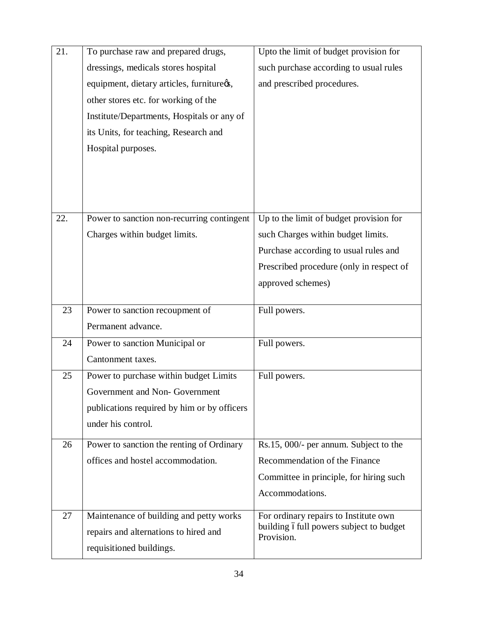| 21. | To purchase raw and prepared drugs,         | Upto the limit of budget provision for                 |
|-----|---------------------------------------------|--------------------------------------------------------|
|     | dressings, medicals stores hospital         | such purchase according to usual rules                 |
|     | equipment, dietary articles, furnitureøs,   | and prescribed procedures.                             |
|     | other stores etc. for working of the        |                                                        |
|     | Institute/Departments, Hospitals or any of  |                                                        |
|     | its Units, for teaching, Research and       |                                                        |
|     | Hospital purposes.                          |                                                        |
|     |                                             |                                                        |
|     |                                             |                                                        |
|     |                                             |                                                        |
| 22. | Power to sanction non-recurring contingent  | Up to the limit of budget provision for                |
|     | Charges within budget limits.               | such Charges within budget limits.                     |
|     |                                             | Purchase according to usual rules and                  |
|     |                                             | Prescribed procedure (only in respect of               |
|     |                                             | approved schemes)                                      |
|     |                                             |                                                        |
| 23  | Power to sanction recoupment of             | Full powers.                                           |
|     | Permanent advance.                          |                                                        |
| 24  | Power to sanction Municipal or              | Full powers.                                           |
|     | Cantonment taxes.                           |                                                        |
| 25  | Power to purchase within budget Limits      | Full powers.                                           |
|     | Government and Non-Government               |                                                        |
|     | publications required by him or by officers |                                                        |
|     | under his control.                          |                                                        |
| 26  | Power to sanction the renting of Ordinary   | Rs.15, 000/- per annum. Subject to the                 |
|     | offices and hostel accommodation.           | Recommendation of the Finance                          |
|     |                                             | Committee in principle, for hiring such                |
|     |                                             | Accommodations.                                        |
| 27  | Maintenance of building and petty works     | For ordinary repairs to Institute own                  |
|     | repairs and alternations to hired and       | building of ull powers subject to budget<br>Provision. |
|     | requisitioned buildings.                    |                                                        |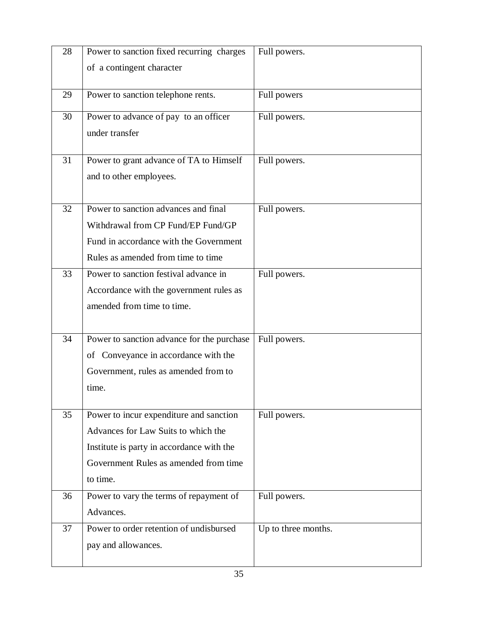| 28 | Power to sanction fixed recurring charges                                          | Full powers.        |
|----|------------------------------------------------------------------------------------|---------------------|
|    | of a contingent character                                                          |                     |
|    |                                                                                    |                     |
| 29 | Power to sanction telephone rents.                                                 | Full powers         |
| 30 | Power to advance of pay to an officer                                              | Full powers.        |
|    | under transfer                                                                     |                     |
|    |                                                                                    |                     |
| 31 | Power to grant advance of TA to Himself                                            | Full powers.        |
|    | and to other employees.                                                            |                     |
|    |                                                                                    |                     |
| 32 | Power to sanction advances and final                                               | Full powers.        |
|    | Withdrawal from CP Fund/EP Fund/GP                                                 |                     |
|    | Fund in accordance with the Government                                             |                     |
|    | Rules as amended from time to time                                                 |                     |
| 33 | Power to sanction festival advance in                                              | Full powers.        |
|    | Accordance with the government rules as                                            |                     |
|    | amended from time to time.                                                         |                     |
|    |                                                                                    |                     |
| 34 | Power to sanction advance for the purchase                                         | Full powers.        |
|    | of Conveyance in accordance with the                                               |                     |
|    | Government, rules as amended from to                                               |                     |
|    | time.                                                                              |                     |
| 35 |                                                                                    |                     |
|    | Power to incur expenditure and sanction<br>Advances for Law Suits to which the     | Full powers.        |
|    |                                                                                    |                     |
|    | Institute is party in accordance with the<br>Government Rules as amended from time |                     |
|    | to time.                                                                           |                     |
|    |                                                                                    |                     |
| 36 | Power to vary the terms of repayment of                                            | Full powers.        |
|    | Advances.                                                                          |                     |
| 37 | Power to order retention of undisbursed                                            | Up to three months. |
|    | pay and allowances.                                                                |                     |
|    |                                                                                    |                     |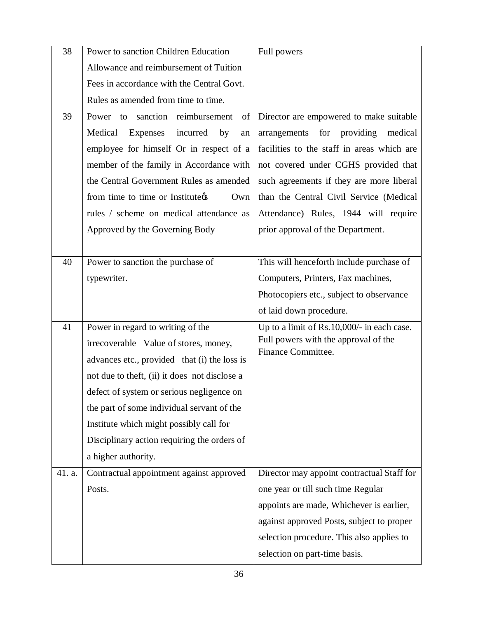| 38     | Power to sanction Children Education          | Full powers                                |
|--------|-----------------------------------------------|--------------------------------------------|
|        | Allowance and reimbursement of Tuition        |                                            |
|        | Fees in accordance with the Central Govt.     |                                            |
|        | Rules as amended from time to time.           |                                            |
| 39     | Power to sanction reimbursement<br>of         | Director are empowered to make suitable    |
|        | Medical<br>Expenses<br>incurred<br>by<br>an   | for providing<br>medical<br>arrangements   |
|        | employee for himself Or in respect of a       | facilities to the staff in areas which are |
|        | member of the family in Accordance with       | not covered under CGHS provided that       |
|        | the Central Government Rules as amended       | such agreements if they are more liberal   |
|        | from time to time or Institute¢s<br>Own       | than the Central Civil Service (Medical    |
|        | rules / scheme on medical attendance as       | Attendance) Rules, 1944 will require       |
|        | Approved by the Governing Body                | prior approval of the Department.          |
|        |                                               |                                            |
| 40     | Power to sanction the purchase of             | This will henceforth include purchase of   |
|        | typewriter.                                   | Computers, Printers, Fax machines,         |
|        |                                               | Photocopiers etc., subject to observance   |
|        |                                               |                                            |
|        |                                               | of laid down procedure.                    |
| 41     | Power in regard to writing of the             | Up to a limit of Rs.10,000/- in each case. |
|        | irrecoverable Value of stores, money,         | Full powers with the approval of the       |
|        | advances etc., provided that (i) the loss is  | Finance Committee.                         |
|        | not due to theft, (ii) it does not disclose a |                                            |
|        | defect of system or serious negligence on     |                                            |
|        | the part of some individual servant of the    |                                            |
|        | Institute which might possibly call for       |                                            |
|        | Disciplinary action requiring the orders of   |                                            |
|        | a higher authority.                           |                                            |
| 41. a. | Contractual appointment against approved      | Director may appoint contractual Staff for |
|        | Posts.                                        | one year or till such time Regular         |
|        |                                               | appoints are made, Whichever is earlier,   |
|        |                                               | against approved Posts, subject to proper  |
|        |                                               | selection procedure. This also applies to  |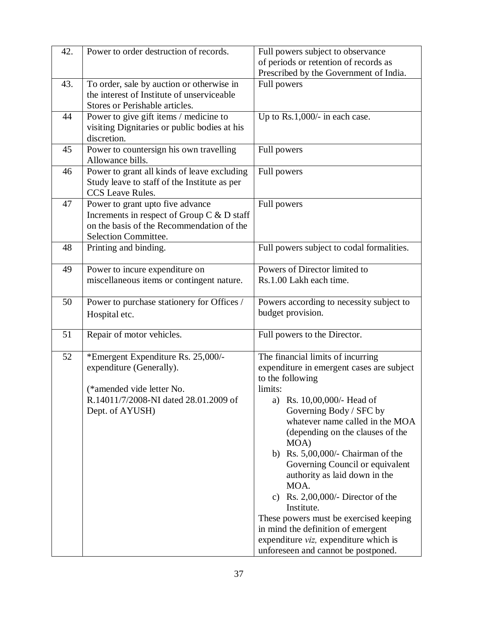| 42. | Power to order destruction of records.       | Full powers subject to observance                                                                                                                                                                                          |  |
|-----|----------------------------------------------|----------------------------------------------------------------------------------------------------------------------------------------------------------------------------------------------------------------------------|--|
|     |                                              | of periods or retention of records as                                                                                                                                                                                      |  |
|     |                                              | Prescribed by the Government of India.                                                                                                                                                                                     |  |
| 43. | To order, sale by auction or otherwise in    | Full powers                                                                                                                                                                                                                |  |
|     | the interest of Institute of unserviceable   |                                                                                                                                                                                                                            |  |
|     | Stores or Perishable articles.               |                                                                                                                                                                                                                            |  |
| 44  | Power to give gift items / medicine to       | Up to Rs.1,000/- in each case.                                                                                                                                                                                             |  |
|     | visiting Dignitaries or public bodies at his |                                                                                                                                                                                                                            |  |
|     | discretion.                                  |                                                                                                                                                                                                                            |  |
| 45  | Power to countersign his own travelling      | Full powers                                                                                                                                                                                                                |  |
|     | Allowance bills.                             |                                                                                                                                                                                                                            |  |
| 46  | Power to grant all kinds of leave excluding  | Full powers                                                                                                                                                                                                                |  |
|     | Study leave to staff of the Institute as per |                                                                                                                                                                                                                            |  |
|     | <b>CCS</b> Leave Rules.                      |                                                                                                                                                                                                                            |  |
| 47  | Power to grant upto five advance             | Full powers                                                                                                                                                                                                                |  |
|     | Increments in respect of Group C & D staff   |                                                                                                                                                                                                                            |  |
|     | on the basis of the Recommendation of the    |                                                                                                                                                                                                                            |  |
|     | Selection Committee.                         |                                                                                                                                                                                                                            |  |
| 48  | Printing and binding.                        | Full powers subject to codal formalities.                                                                                                                                                                                  |  |
|     |                                              |                                                                                                                                                                                                                            |  |
| 49  | Power to incure expenditure on               | Powers of Director limited to                                                                                                                                                                                              |  |
|     | miscellaneous items or contingent nature.    | Rs.1.00 Lakh each time.                                                                                                                                                                                                    |  |
|     |                                              |                                                                                                                                                                                                                            |  |
| 50  | Power to purchase stationery for Offices /   | Powers according to necessity subject to                                                                                                                                                                                   |  |
|     | Hospital etc.                                | budget provision.                                                                                                                                                                                                          |  |
|     |                                              |                                                                                                                                                                                                                            |  |
| 51  | Repair of motor vehicles.                    | Full powers to the Director.                                                                                                                                                                                               |  |
| 52  | *Emergent Expenditure Rs. 25,000/-           | The financial limits of incurring                                                                                                                                                                                          |  |
|     | expenditure (Generally).                     | expenditure in emergent cases are subject                                                                                                                                                                                  |  |
|     |                                              | to the following                                                                                                                                                                                                           |  |
|     | (*amended vide letter No.                    | limits:                                                                                                                                                                                                                    |  |
|     | R.14011/7/2008-NI dated 28.01.2009 of        | a) Rs. 10,00,000/- Head of                                                                                                                                                                                                 |  |
|     | Dept. of AYUSH)                              | Governing Body / SFC by                                                                                                                                                                                                    |  |
|     |                                              | whatever name called in the MOA                                                                                                                                                                                            |  |
|     |                                              | (depending on the clauses of the                                                                                                                                                                                           |  |
|     |                                              | MOA)                                                                                                                                                                                                                       |  |
|     |                                              | b) Rs. $5,00,000/$ - Chairman of the                                                                                                                                                                                       |  |
|     |                                              | Governing Council or equivalent                                                                                                                                                                                            |  |
|     |                                              | authority as laid down in the                                                                                                                                                                                              |  |
|     |                                              |                                                                                                                                                                                                                            |  |
|     |                                              |                                                                                                                                                                                                                            |  |
|     |                                              |                                                                                                                                                                                                                            |  |
|     |                                              |                                                                                                                                                                                                                            |  |
|     |                                              |                                                                                                                                                                                                                            |  |
|     |                                              |                                                                                                                                                                                                                            |  |
|     |                                              |                                                                                                                                                                                                                            |  |
|     |                                              | MOA.<br>c) Rs. $2,00,000/$ - Director of the<br>Institute.<br>These powers must be exercised keeping<br>in mind the definition of emergent<br>expenditure viz, expenditure which is<br>unforeseen and cannot be postponed. |  |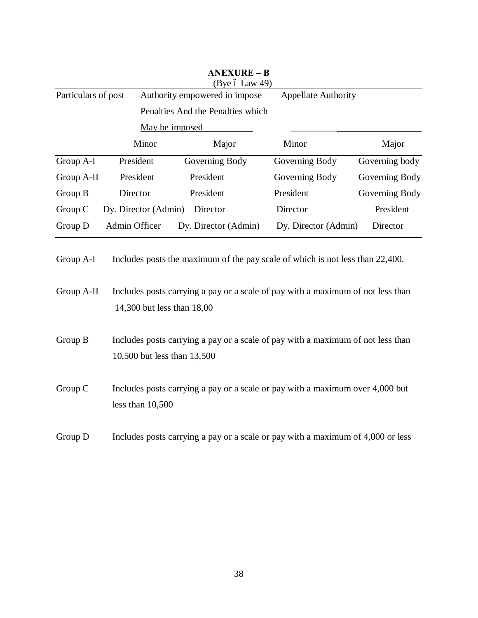|                     |                      | <b>ANEXURE - B</b><br>(Bye $6$ Law 49) |                            |                |
|---------------------|----------------------|----------------------------------------|----------------------------|----------------|
| Particulars of post |                      | Authority empowered in impose          | <b>Appellate Authority</b> |                |
|                     |                      | Penalties And the Penalties which      |                            |                |
|                     |                      | May be imposed                         |                            |                |
|                     | Minor                | Major                                  | Minor                      | Major          |
| Group A-I           | President            | Governing Body                         | Governing Body             | Governing body |
| Group A-II          | President            | President                              | Governing Body             | Governing Body |
| Group B             | Director             | President                              | President                  | Governing Body |
| Group $C$           | Dy. Director (Admin) | Director                               | Director                   | President      |
| Group D             | Admin Officer        | Dy. Director (Admin)                   | Dy. Director (Admin)       | Director       |

Group A-I Includes posts the maximum of the pay scale of which is not less than 22,400.

| Group A-II | Includes posts carrying a pay or a scale of pay with a maximum of not less than |
|------------|---------------------------------------------------------------------------------|
|            | 14,300 but less than 18,00                                                      |

Group B Includes posts carrying a pay or a scale of pay with a maximum of not less than 10,500 but less than 13,500

Group C Includes posts carrying a pay or a scale or pay with a maximum over 4,000 but less than 10,500

Group D Includes posts carrying a pay or a scale or pay with a maximum of 4,000 or less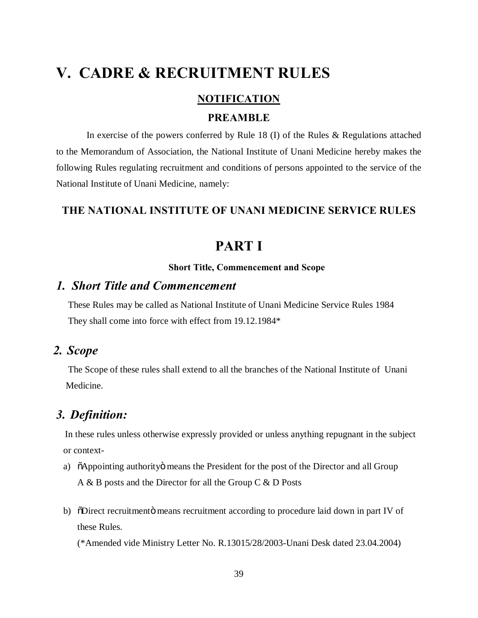## **V. CADRE & RECRUITMENT RULES**

#### **NOTIFICATION**

#### **PREAMBLE**

 In exercise of the powers conferred by Rule 18 (I) of the Rules & Regulations attached to the Memorandum of Association, the National Institute of Unani Medicine hereby makes the following Rules regulating recruitment and conditions of persons appointed to the service of the National Institute of Unani Medicine, namely:

#### **THE NATIONAL INSTITUTE OF UNANI MEDICINE SERVICE RULES**

### **PART I**

#### **Short Title, Commencement and Scope**

#### *1. Short Title and Commencement*

 These Rules may be called as National Institute of Unani Medicine Service Rules 1984 They shall come into force with effect from 19.12.1984\*

#### *2. Scope*

 The Scope of these rules shall extend to all the branches of the National Institute of Unani Medicine.

#### *3. Definition:*

In these rules unless otherwise expressly provided or unless anything repugnant in the subject or context-

- a)  $\ddot{\text{o}}$ Appointing authority means the President for the post of the Director and all Group A & B posts and the Director for all the Group C & D Posts
- b) "Obirect recruitment is means recruitment according to procedure laid down in part IV of these Rules.

(\*Amended vide Ministry Letter No. R.13015/28/2003-Unani Desk dated 23.04.2004)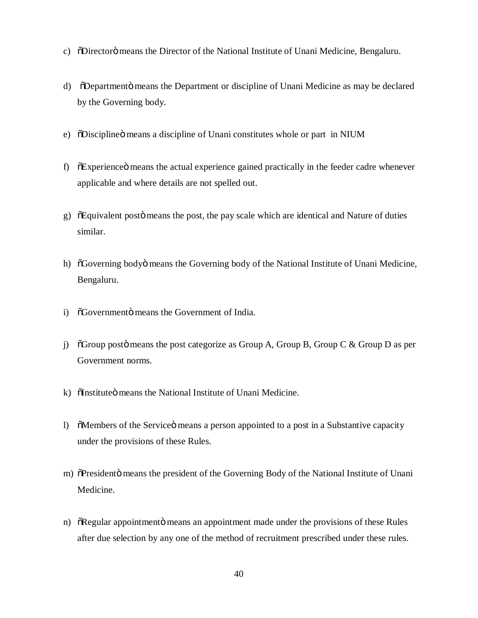- c) "ODirectorö means the Director of the National Institute of Unani Medicine, Bengaluru.
- d) SDepartment means the Department or discipline of Unani Medicine as may be declared by the Governing body.
- e) "Obiscipline means a discipline of Unani constitutes whole or part in NIUM
- f)  $\tilde{\text{o}}$ Experience $\tilde{\text{o}}$  means the actual experience gained practically in the feeder cadre whenever applicable and where details are not spelled out.
- g)  $\delta$ Equivalent post $\ddot{o}$  means the post, the pay scale which are identical and Nature of duties similar.
- h)  $\tilde{\sigma}$ Governing bodyö means the Governing body of the National Institute of Unani Medicine, Bengaluru.
- i)  $\delta$ Governmento means the Government of India.
- j)  $\tilde{\sigma}$  6 Group posto means the post categorize as Group A, Group B, Group C & Group D as per Government norms.
- k) ölnstitute ümeans the National Institute of Unani Medicine.
- l)  $\delta$ Members of the Service means a person appointed to a post in a Substantive capacity under the provisions of these Rules.
- m) õPresidentö means the president of the Governing Body of the National Institute of Unani Medicine.
- n)  $\delta$ Regular appointmento means an appointment made under the provisions of these Rules after due selection by any one of the method of recruitment prescribed under these rules.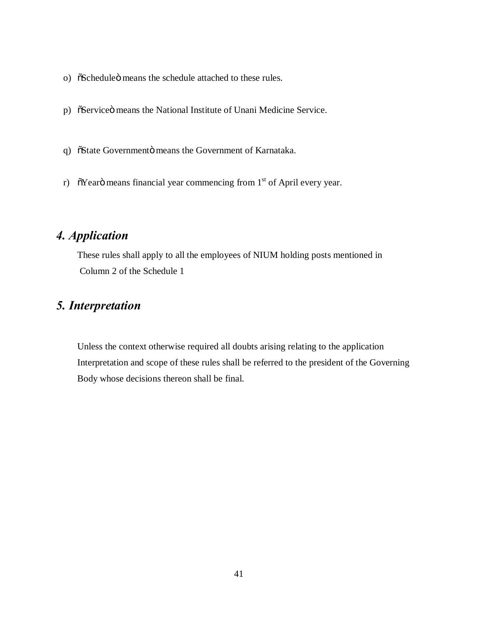- o)  $\tilde{\text{o}}$ Schedule $\ddot{\text{o}}$  means the schedule attached to these rules.
- p) SServiceö means the National Institute of Unani Medicine Service.
- q) öState Governmentö means the Government of Karnataka.
- r)  $\tilde{\sigma}$ Yearö means financial year commencing from 1<sup>st</sup> of April every year.

#### *4. Application*

 These rules shall apply to all the employees of NIUM holding posts mentioned in Column 2 of the Schedule 1

#### *5. Interpretation*

 Unless the context otherwise required all doubts arising relating to the application Interpretation and scope of these rules shall be referred to the president of the Governing Body whose decisions thereon shall be final.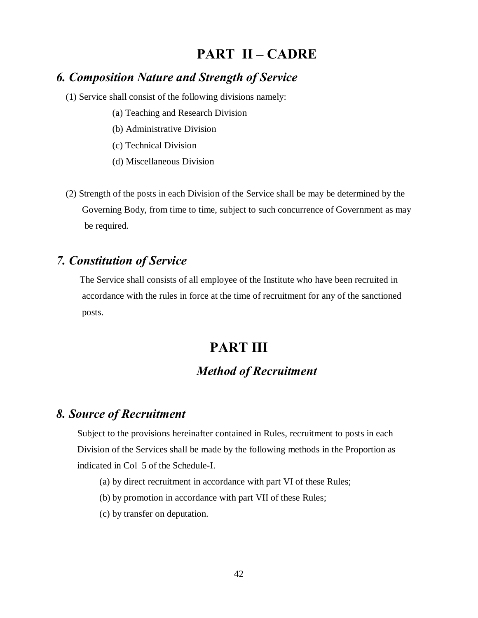## **PART II – CADRE**

#### *6. Composition Nature and Strength of Service*

- (1) Service shall consist of the following divisions namely:
	- (a) Teaching and Research Division
	- (b) Administrative Division
	- (c) Technical Division
	- (d) Miscellaneous Division
- (2) Strength of the posts in each Division of the Service shall be may be determined by the Governing Body, from time to time, subject to such concurrence of Government as may be required.

#### *7. Constitution of Service*

 The Service shall consists of all employee of the Institute who have been recruited in accordance with the rules in force at the time of recruitment for any of the sanctioned posts.

## **PART III**

### *Method of Recruitment*

#### *8. Source of Recruitment*

 Subject to the provisions hereinafter contained in Rules, recruitment to posts in each Division of the Services shall be made by the following methods in the Proportion as indicated in Col 5 of the Schedule-I.

- (a) by direct recruitment in accordance with part VI of these Rules;
- (b) by promotion in accordance with part VII of these Rules;
- (c) by transfer on deputation.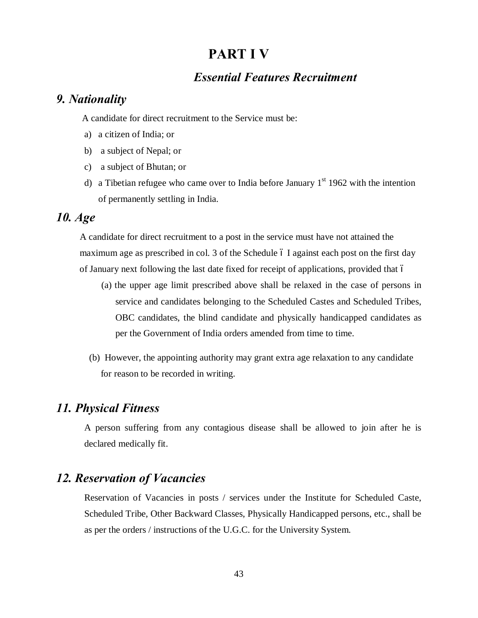## **PART I V**

#### *Essential Features Recruitment*

#### *9. Nationality*

A candidate for direct recruitment to the Service must be:

- a) a citizen of India; or
- b) a subject of Nepal; or
- c) a subject of Bhutan; or
- d) a Tibetian refugee who came over to India before January  $1<sup>st</sup> 1962$  with the intention of permanently settling in India.

#### *10. Age*

 A candidate for direct recruitment to a post in the service must have not attained the maximum age as prescribed in col. 3 of the Schedule 6 I against each post on the first day of January next following the last date fixed for receipt of applications, provided that –

- (a) the upper age limit prescribed above shall be relaxed in the case of persons in service and candidates belonging to the Scheduled Castes and Scheduled Tribes, OBC candidates, the blind candidate and physically handicapped candidates as per the Government of India orders amended from time to time.
- (b) However, the appointing authority may grant extra age relaxation to any candidate for reason to be recorded in writing.

#### *11. Physical Fitness*

A person suffering from any contagious disease shall be allowed to join after he is declared medically fit.

#### *12. Reservation of Vacancies*

Reservation of Vacancies in posts / services under the Institute for Scheduled Caste, Scheduled Tribe, Other Backward Classes, Physically Handicapped persons, etc., shall be as per the orders / instructions of the U.G.C. for the University System.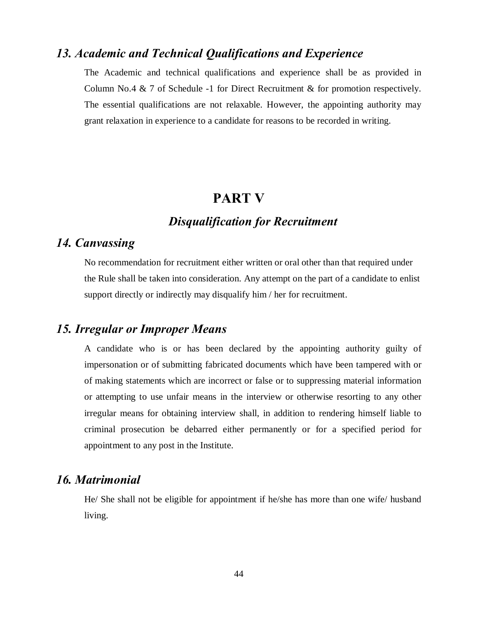#### *13. Academic and Technical Qualifications and Experience*

The Academic and technical qualifications and experience shall be as provided in Column No.4  $\&$  7 of Schedule -1 for Direct Recruitment  $\&$  for promotion respectively. The essential qualifications are not relaxable. However, the appointing authority may grant relaxation in experience to a candidate for reasons to be recorded in writing.

#### **PART V**

#### *Disqualification for Recruitment*

#### *14. Canvassing*

No recommendation for recruitment either written or oral other than that required under the Rule shall be taken into consideration. Any attempt on the part of a candidate to enlist support directly or indirectly may disqualify him / her for recruitment.

#### *15. Irregular or Improper Means*

A candidate who is or has been declared by the appointing authority guilty of impersonation or of submitting fabricated documents which have been tampered with or of making statements which are incorrect or false or to suppressing material information or attempting to use unfair means in the interview or otherwise resorting to any other irregular means for obtaining interview shall, in addition to rendering himself liable to criminal prosecution be debarred either permanently or for a specified period for appointment to any post in the Institute.

#### *16. Matrimonial*

He/ She shall not be eligible for appointment if he/she has more than one wife/ husband living.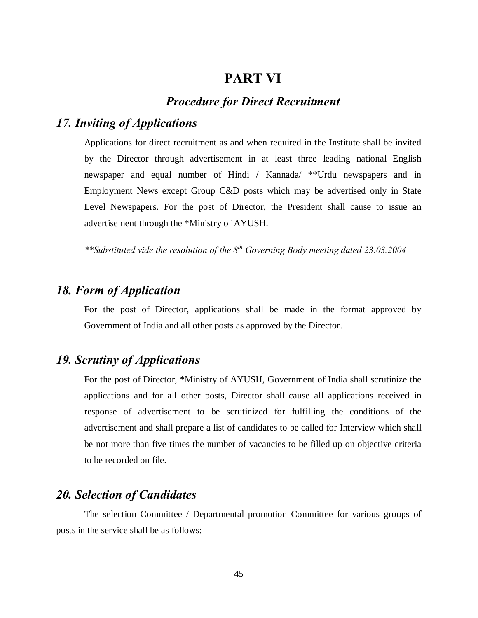#### **PART VI**

#### *Procedure for Direct Recruitment*

#### *17. Inviting of Applications*

Applications for direct recruitment as and when required in the Institute shall be invited by the Director through advertisement in at least three leading national English newspaper and equal number of Hindi / Kannada/ \*\*Urdu newspapers and in Employment News except Group C&D posts which may be advertised only in State Level Newspapers. For the post of Director, the President shall cause to issue an advertisement through the \*Ministry of AYUSH.

*\*\*Substituted vide the resolution of the 8th Governing Body meeting dated 23.03.2004*

#### *18. Form of Application*

For the post of Director, applications shall be made in the format approved by Government of India and all other posts as approved by the Director.

#### *19. Scrutiny of Applications*

For the post of Director, \*Ministry of AYUSH, Government of India shall scrutinize the applications and for all other posts, Director shall cause all applications received in response of advertisement to be scrutinized for fulfilling the conditions of the advertisement and shall prepare a list of candidates to be called for Interview which shall be not more than five times the number of vacancies to be filled up on objective criteria to be recorded on file.

#### *20. Selection of Candidates*

The selection Committee / Departmental promotion Committee for various groups of posts in the service shall be as follows: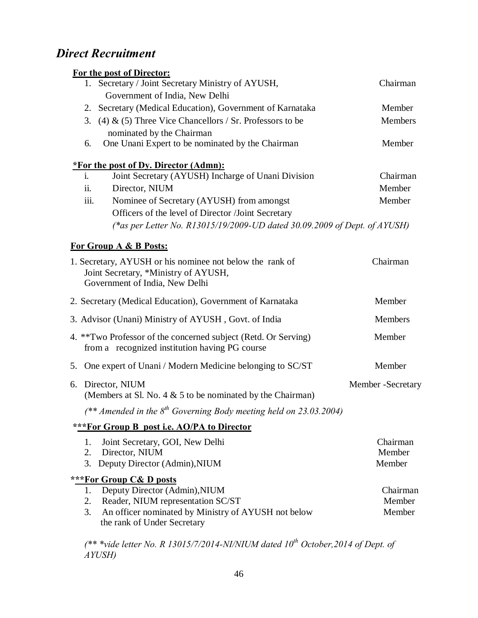## *Direct Recruitment*

|      | <b>For the post of Director:</b>                                                                                                   |                    |
|------|------------------------------------------------------------------------------------------------------------------------------------|--------------------|
|      | 1. Secretary / Joint Secretary Ministry of AYUSH,                                                                                  | Chairman           |
|      | Government of India, New Delhi                                                                                                     |                    |
|      | 2. Secretary (Medical Education), Government of Karnataka                                                                          | Member             |
|      | 3. (4) & (5) Three Vice Chancellors / Sr. Professors to be                                                                         | Members            |
|      | nominated by the Chairman                                                                                                          |                    |
| 6.   | One Unani Expert to be nominated by the Chairman                                                                                   | Member             |
|      | <i><b><u>*For the post of Dy. Director (Admn):</u></b></i>                                                                         |                    |
| i.   | Joint Secretary (AYUSH) Incharge of Unani Division                                                                                 | Chairman           |
| ii.  | Director, NIUM                                                                                                                     | Member             |
| iii. | Nominee of Secretary (AYUSH) from amongst                                                                                          | Member             |
|      | Officers of the level of Director /Joint Secretary                                                                                 |                    |
|      | (*as per Letter No. R13015/19/2009-UD dated 30.09.2009 of Dept. of AYUSH)                                                          |                    |
|      | <b>For Group A &amp; B Posts:</b>                                                                                                  |                    |
|      | 1. Secretary, AYUSH or his nominee not below the rank of<br>Joint Secretary, *Ministry of AYUSH,<br>Government of India, New Delhi | Chairman           |
|      | 2. Secretary (Medical Education), Government of Karnataka                                                                          | Member             |
|      | 3. Advisor (Unani) Ministry of AYUSH, Govt. of India                                                                               | Members            |
|      | 4. **Two Professor of the concerned subject (Retd. Or Serving)<br>from a recognized institution having PG course                   | Member             |
|      | 5. One expert of Unani / Modern Medicine belonging to SC/ST                                                                        | Member             |
|      | 6. Director, NIUM<br>(Members at Sl. No. 4 $&$ 5 to be nominated by the Chairman)                                                  | Member - Secretary |
|      | (** Amended in the $8^{th}$ Governing Body meeting held on 23.03.2004)                                                             |                    |
|      | ***For Group B post i.e. AO/PA to Director                                                                                         |                    |
| 1.   | Joint Secretary, GOI, New Delhi                                                                                                    | Chairman           |
| 2.   | Director, NIUM                                                                                                                     | Member             |
| 3.   | Deputy Director (Admin), NIUM                                                                                                      | Member             |
|      | ***For Group C& D posts                                                                                                            |                    |
| 1.   | Deputy Director (Admin), NIUM                                                                                                      | Chairman           |
| 2.   | Reader, NIUM representation SC/ST                                                                                                  | Member             |
| 3.   | An officer nominated by Ministry of AYUSH not below                                                                                | Member             |
|      | the rank of Under Secretary                                                                                                        |                    |

*(\*\* \*vide letter No. R 13015/7/2014-NI/NIUM dated 10th October,2014 of Dept. of AYUSH)*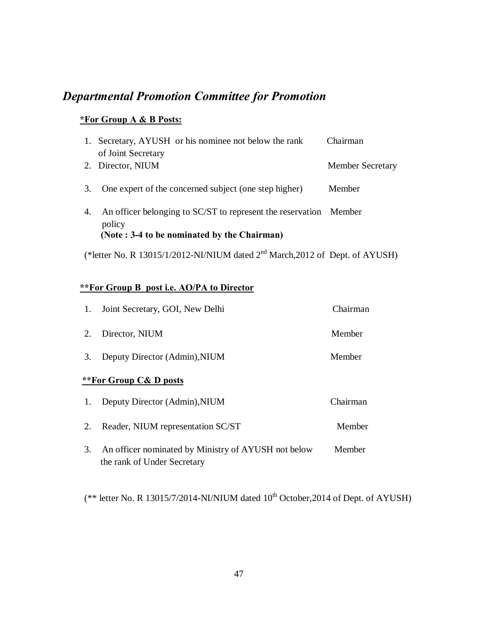## *Departmental Promotion Committee for Promotion*

#### **\*For Group A & B Posts:**

| 1. | Secretary, AYUSH or his nominee not below the rank         | Chairman                |
|----|------------------------------------------------------------|-------------------------|
|    | of Joint Secretary                                         |                         |
|    | 2. Director, NIUM                                          | <b>Member Secretary</b> |
|    |                                                            |                         |
| 3. | One expert of the concerned subject (one step higher)      | Member                  |
|    |                                                            |                         |
| 4. | An officer belonging to SC/ST to represent the reservation | Member                  |
|    | policy                                                     |                         |
|    | (Note: 3-4 to be nominated by the Chairman)                |                         |
|    |                                                            |                         |

(\*letter No. R 13015/1/2012-NI/NIUM dated 2nd March,2012 of Dept. of AYUSH)

#### **\*\*For Group B post i.e. AO/PA to Director**

| 1. | Joint Secretary, GOI, New Delhi                                                    | Chairman |
|----|------------------------------------------------------------------------------------|----------|
| 2. | Director, NIUM                                                                     | Member   |
| 3. | Deputy Director (Admin), NIUM                                                      | Member   |
|    | **For Group C& D posts                                                             |          |
| 1. | Deputy Director (Admin), NIUM                                                      | Chairman |
| 2. | Reader, NIUM representation SC/ST                                                  | Member   |
| 3. | An officer nominated by Ministry of AYUSH not below<br>the rank of Under Secretary | Member   |

(\*\* letter No. R 13015/7/2014-NI/NIUM dated  $10^{th}$  October, 2014 of Dept. of AYUSH)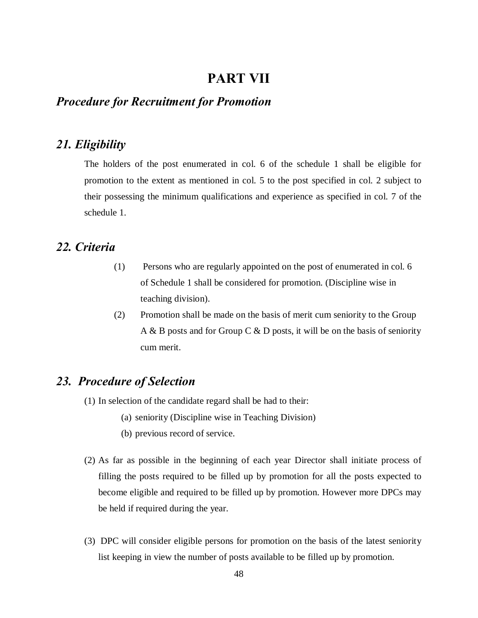#### **PART VII**

#### *Procedure for Recruitment for Promotion*

#### *21. Eligibility*

The holders of the post enumerated in col. 6 of the schedule 1 shall be eligible for promotion to the extent as mentioned in col. 5 to the post specified in col. 2 subject to their possessing the minimum qualifications and experience as specified in col. 7 of the schedule 1.

#### *22. Criteria*

- (1) Persons who are regularly appointed on the post of enumerated in col. 6 of Schedule 1 shall be considered for promotion. (Discipline wise in teaching division).
- (2) Promotion shall be made on the basis of merit cum seniority to the Group A & B posts and for Group C & D posts, it will be on the basis of seniority cum merit.

#### *23. Procedure of Selection*

- (1) In selection of the candidate regard shall be had to their:
	- (a) seniority (Discipline wise in Teaching Division)
	- (b) previous record of service.
- (2) As far as possible in the beginning of each year Director shall initiate process of filling the posts required to be filled up by promotion for all the posts expected to become eligible and required to be filled up by promotion. However more DPCs may be held if required during the year.
- (3) DPC will consider eligible persons for promotion on the basis of the latest seniority list keeping in view the number of posts available to be filled up by promotion.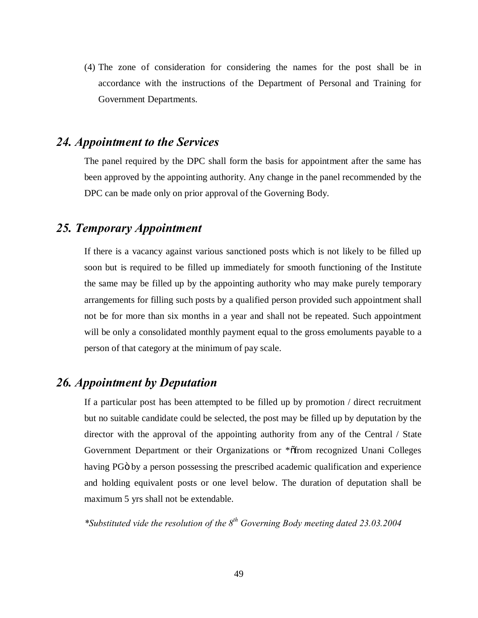(4) The zone of consideration for considering the names for the post shall be in accordance with the instructions of the Department of Personal and Training for Government Departments.

#### *24. Appointment to the Services*

The panel required by the DPC shall form the basis for appointment after the same has been approved by the appointing authority. Any change in the panel recommended by the DPC can be made only on prior approval of the Governing Body.

#### *25. Temporary Appointment*

If there is a vacancy against various sanctioned posts which is not likely to be filled up soon but is required to be filled up immediately for smooth functioning of the Institute the same may be filled up by the appointing authority who may make purely temporary arrangements for filling such posts by a qualified person provided such appointment shall not be for more than six months in a year and shall not be repeated. Such appointment will be only a consolidated monthly payment equal to the gross emoluments payable to a person of that category at the minimum of pay scale.

#### *26. Appointment by Deputation*

If a particular post has been attempted to be filled up by promotion / direct recruitment but no suitable candidate could be selected, the post may be filled up by deputation by the director with the approval of the appointing authority from any of the Central / State Government Department or their Organizations or \*orfom recognized Unani Colleges having PG<sub>0</sub> by a person possessing the prescribed academic qualification and experience and holding equivalent posts or one level below. The duration of deputation shall be maximum 5 yrs shall not be extendable.

*\*Substituted vide the resolution of the 8th Governing Body meeting dated 23.03.2004*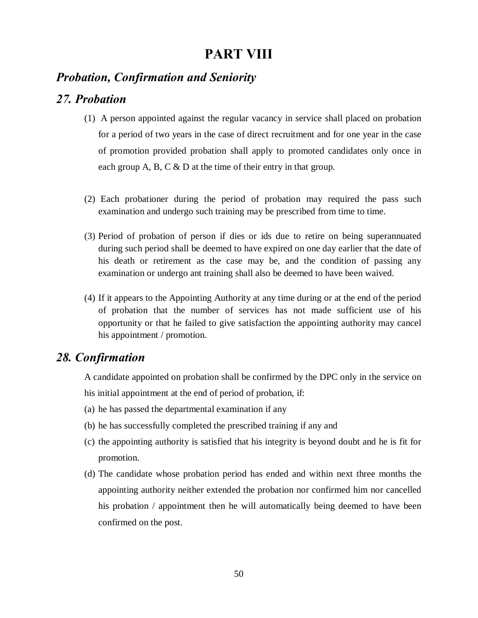## **PART VIII**

#### *Probation, Confirmation and Seniority*

#### *27. Probation*

- (1) A person appointed against the regular vacancy in service shall placed on probation for a period of two years in the case of direct recruitment and for one year in the case of promotion provided probation shall apply to promoted candidates only once in each group A, B, C & D at the time of their entry in that group.
- (2) Each probationer during the period of probation may required the pass such examination and undergo such training may be prescribed from time to time.
- (3) Period of probation of person if dies or ids due to retire on being superannuated during such period shall be deemed to have expired on one day earlier that the date of his death or retirement as the case may be, and the condition of passing any examination or undergo ant training shall also be deemed to have been waived.
- (4) If it appears to the Appointing Authority at any time during or at the end of the period of probation that the number of services has not made sufficient use of his opportunity or that he failed to give satisfaction the appointing authority may cancel his appointment / promotion.

#### *28. Confirmation*

A candidate appointed on probation shall be confirmed by the DPC only in the service on his initial appointment at the end of period of probation, if:

- (a) he has passed the departmental examination if any
- (b) he has successfully completed the prescribed training if any and
- (c) the appointing authority is satisfied that his integrity is beyond doubt and he is fit for promotion.
- (d) The candidate whose probation period has ended and within next three months the appointing authority neither extended the probation nor confirmed him nor cancelled his probation / appointment then he will automatically being deemed to have been confirmed on the post.